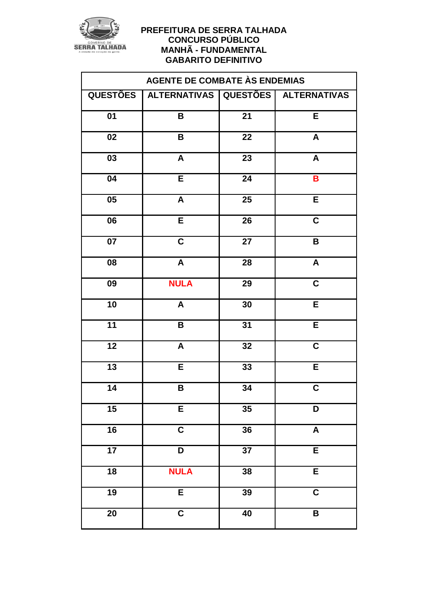

# PREFEITURA DE SERRA TALHADA **CONCURSO PÚBLICO MANHÃ - FUNDAMENTAL GABARITO DEFINITIVO**

| AGENTE DE COMBATE ÀS ENDEMIAS |                           |                 |                                        |
|-------------------------------|---------------------------|-----------------|----------------------------------------|
| <b>QUESTÕES</b>               |                           |                 | ALTERNATIVAS   QUESTÕES   ALTERNATIVAS |
| 01                            | B                         | $\overline{21}$ | E                                      |
| 02                            | $\overline{\mathbf{B}}$   | 22              | $\boldsymbol{\mathsf{A}}$              |
| $\overline{03}$               | $\boldsymbol{\mathsf{A}}$ | $\overline{23}$ | $\overline{\mathbf{A}}$                |
| 04                            | $\overline{E}$            | 24              | B                                      |
| 05                            | $\blacktriangle$          | $\overline{25}$ | E                                      |
| 06                            | $\overline{E}$            | 26              | $\overline{\mathsf{c}}$                |
| 07                            | $\overline{\mathsf{C}}$   | $\overline{27}$ | B                                      |
| $\overline{08}$               | $\overline{\mathbf{A}}$   | $\overline{28}$ | $\overline{\mathsf{A}}$                |
| 09                            | <b>NULA</b>               | 29              | $\overline{\mathsf{c}}$                |
| 10                            | $\blacktriangle$          | 30              | E                                      |
| $\overline{11}$               | B                         | 31              | $\overline{E}$                         |
| 12                            | $\blacktriangle$          | 32              | $\overline{\mathbf{C}}$                |
| $\overline{13}$               | $\overline{E}$            | 33              | $\overline{E}$                         |
| $\overline{14}$               | B                         | 34              | $\overline{\mathbf{C}}$                |
| $\overline{15}$               | E                         | $\overline{35}$ | D                                      |
| $\overline{16}$               | $\overline{\mathsf{C}}$   | $\overline{36}$ | $\overline{\mathbf{A}}$                |
| $\overline{17}$               | $\overline{\mathsf{D}}$   | $\overline{37}$ | E                                      |
| $\overline{18}$               | <b>NULA</b>               | 38              | E                                      |
| 19                            | E                         | 39              | $\overline{\mathbf{C}}$                |
| $\overline{20}$               | $\overline{\mathsf{c}}$   | $\overline{40}$ | $\overline{\mathsf{B}}$                |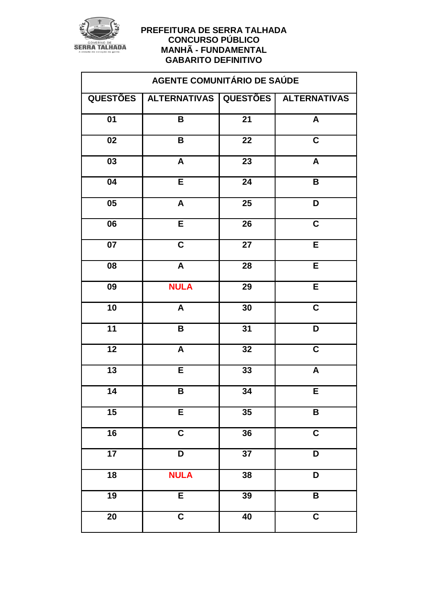

# PREFEITURA DE SERRA TALHADA **CONCURSO PÚBLICO MANHÃ - FUNDAMENTAL GABARITO DEFINITIVO**

| AGENTE COMUNITÁRIO DE SAÚDE |                                    |                 |                           |
|-----------------------------|------------------------------------|-----------------|---------------------------|
| QUESTÕES                    | ALTERNATIVAS QUESTÕES ALTERNATIVAS |                 |                           |
| 01                          | B                                  | $\overline{21}$ | $\boldsymbol{\mathsf{A}}$ |
| $\overline{02}$             | B                                  | $\overline{22}$ | $\overline{\mathsf{c}}$   |
| 03                          | $\blacktriangle$                   | 23              | $\boldsymbol{\mathsf{A}}$ |
| 04                          | $\overline{E}$                     | 24              | $\pmb{\mathsf{B}}$        |
| $\overline{05}$             | $\overline{\mathbf{A}}$            | 25              | $\overline{\mathsf{D}}$   |
| 06                          | $\overline{E}$                     | 26              | $\mathbf C$               |
| $\overline{07}$             | $\overline{\mathsf{C}}$            | $\overline{27}$ | Ē                         |
| 08                          | $\overline{A}$                     | 28              | $\overline{E}$            |
| $\overline{09}$             | <b>NULA</b>                        | $\overline{29}$ | E                         |
| 10                          | $\pmb{\mathsf{A}}$                 | 30              | $\overline{\mathsf{c}}$   |
| $\overline{11}$             | B                                  | 31              | $\overline{\mathsf{D}}$   |
| $\overline{12}$             | $\overline{\mathsf{A}}$            | 32              | $\overline{\mathsf{c}}$   |
| $\overline{13}$             | $\overline{E}$                     | 33              | $\pmb{\mathsf{A}}$        |
| $\overline{14}$             | B                                  | $\overline{34}$ | Ē                         |
| 15                          | E                                  | $\overline{35}$ | $\pmb{\mathsf{B}}$        |
| 16                          | $\overline{\mathbf{C}}$            | $\overline{36}$ | $\overline{\mathbf{C}}$   |
| $\overline{17}$             | $\overline{\mathsf{D}}$            | $\overline{37}$ | D                         |
| 18                          | <b>NULA</b>                        | 38              | D                         |
| 19                          | E                                  | 39              | $\overline{\mathbf{B}}$   |
| $\overline{20}$             | $\overline{\mathbf{C}}$            | $\overline{40}$ | $\overline{\mathbf{C}}$   |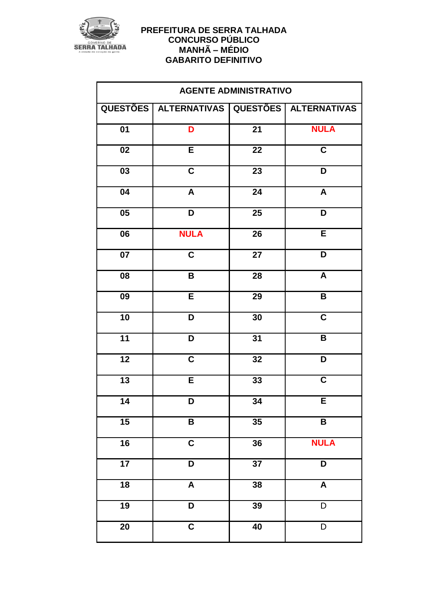

| <b>AGENTE ADMINISTRATIVO</b>        |                         |                 |                         |
|-------------------------------------|-------------------------|-----------------|-------------------------|
| <b>QUESTÕES</b>                     | <b>ALTERNATIVAS</b>     |                 | QUESTÕES ALTERNATIVAS   |
| $\overline{01}$                     | D                       | $\overline{21}$ | <b>NULA</b>             |
| 02                                  | E                       | 22              | $\overline{\mathbf{C}}$ |
| 03                                  | $\mathbf C$             | 23              | D                       |
| 04                                  | $\boldsymbol{A}$        | $\overline{24}$ | $\pmb{\mathsf{A}}$      |
| $\overline{\overline{\textbf{05}}}$ | D                       | $\overline{25}$ | $\overline{\mathsf{D}}$ |
| $\overline{06}$                     | <b>NULA</b>             | $\overline{26}$ | Ē                       |
| 07                                  | $\mathbf C$             | $\overline{27}$ | $\overline{\mathsf{D}}$ |
| $\overline{08}$                     | B                       | 28              | $\overline{\mathbf{A}}$ |
| 09                                  | $\overline{E}$          | $\overline{29}$ | $\overline{\mathsf{B}}$ |
| 10                                  | D                       | 30              | $\overline{\mathsf{c}}$ |
| 11                                  | D                       | $\overline{31}$ | $\overline{\mathsf{B}}$ |
| 12                                  | $\overline{\mathbf{C}}$ | 32              | $\overline{\mathsf{D}}$ |
| $\overline{13}$                     | E                       | 33              | $\overline{\mathsf{c}}$ |
| $\overline{14}$                     | D                       | 34              | Ē                       |
| $\overline{15}$                     | B                       | $\overline{35}$ | $\overline{\mathbf{B}}$ |
| $\overline{16}$                     | $\overline{\mathbf{C}}$ | 36              | <b>NULA</b>             |
| 17                                  | D                       | 37              | $\overline{\mathsf{D}}$ |
| $\overline{18}$                     | $\overline{A}$          | $\overline{38}$ | $\overline{\mathsf{A}}$ |
| 19                                  | D                       | 39              | $\mathsf D$             |
| $\overline{2}0$                     | $\overline{\mathbf{C}}$ | $\overline{40}$ | $\mathsf D$             |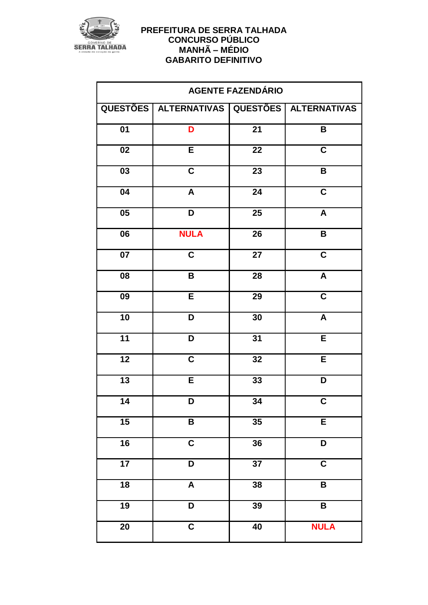

| <b>AGENTE FAZENDÁRIO</b> |                                                   |                 |                           |
|--------------------------|---------------------------------------------------|-----------------|---------------------------|
|                          | QUESTÕES   ALTERNATIVAS   QUESTÕES   ALTERNATIVAS |                 |                           |
| $\overline{01}$          | D                                                 | $\overline{21}$ | B                         |
| $\overline{02}$          | $\overline{E}$                                    | $\overline{22}$ | $\overline{\mathsf{c}}$   |
| 03                       | $\mathbf C$                                       | 23              | $\pmb{\mathsf{B}}$        |
| $\overline{04}$          | $\boldsymbol{\mathsf{A}}$                         | $\overline{24}$ | $\overline{\mathsf{c}}$   |
| 05                       | D                                                 | 25              | $\pmb{\mathsf{A}}$        |
| $\overline{06}$          | <b>NULA</b>                                       | $\overline{26}$ | $\overline{\mathbf{B}}$   |
| $\overline{07}$          | $\mathbf C$                                       | $\overline{27}$ | $\overline{\mathbf{c}}$   |
| 08                       | B                                                 | $\overline{28}$ | $\boldsymbol{\mathsf{A}}$ |
| $\overline{09}$          | E                                                 | $\overline{29}$ | $\overline{\mathsf{c}}$   |
| 10                       | D                                                 | 30              | $\pmb{\mathsf{A}}$        |
| $\overline{11}$          | D                                                 | $\overline{31}$ | E                         |
| 12                       | $\overline{\mathsf{c}}$                           | 32              | $\overline{\mathsf{E}}$   |
| $\overline{13}$          | $\overline{E}$                                    | 33              | D                         |
| $\overline{14}$          | D                                                 | 34              | $\overline{\mathbf{C}}$   |
| 15                       | B                                                 | $\overline{35}$ | E                         |
| $\overline{16}$          | $\overline{\mathbf{C}}$                           | 36              | $\overline{\mathsf{D}}$   |
| 17                       | D                                                 | $\overline{37}$ | $\overline{\mathbf{C}}$   |
| $\overline{18}$          | $\pmb{\mathsf{A}}$                                | 38              | $\pmb{\mathsf{B}}$        |
| $\overline{19}$          | D                                                 | 39              | $\overline{\mathbf{B}}$   |
| 20                       | $\overline{\mathbf{C}}$                           | 40              | <b>NULA</b>               |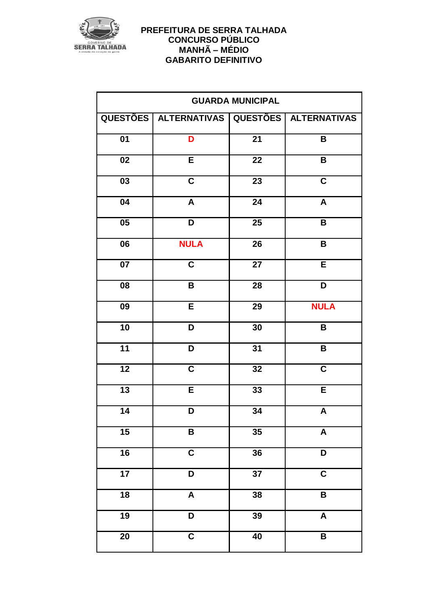

| <b>GUARDA MUNICIPAL</b> |                                                   |                 |                           |
|-------------------------|---------------------------------------------------|-----------------|---------------------------|
|                         | QUESTÕES   ALTERNATIVAS   QUESTÕES   ALTERNATIVAS |                 |                           |
| $\overline{01}$         | D                                                 | $\overline{21}$ | B                         |
| 02                      | E                                                 | 22              | $\pmb{\mathsf{B}}$        |
| $\overline{03}$         | $\overline{c}$                                    | $\overline{23}$ | $\overline{\mathsf{c}}$   |
| 04                      | $\pmb{\mathsf{A}}$                                | $\overline{24}$ | $\overline{\mathbf{A}}$   |
| $\overline{05}$         | $\overline{\mathsf{D}}$                           | $\overline{25}$ | $\overline{\mathsf{B}}$   |
| 06                      | <b>NULA</b>                                       | $\overline{26}$ | B                         |
| $\overline{07}$         | $\mathbf C$                                       | $\overline{27}$ | E                         |
| $\overline{08}$         | $\overline{\mathbf{B}}$                           | $\overline{28}$ | $\overline{\mathsf{D}}$   |
| 09                      | E                                                 | 29              | <b>NULA</b>               |
| 10                      | D                                                 | 30              | B                         |
| $\overline{11}$         | D                                                 | $\overline{31}$ | $\pmb{\mathsf{B}}$        |
| $\overline{12}$         | $\overline{\mathbf{C}}$                           | 32              | $\overline{\mathbf{C}}$   |
| $\overline{13}$         | E                                                 | 33              | E                         |
| $\overline{14}$         | D                                                 | $\overline{34}$ | $\boldsymbol{\mathsf{A}}$ |
| $\overline{15}$         | $\overline{\mathbf{B}}$                           | $\overline{35}$ | $\boldsymbol{\mathsf{A}}$ |
| 16                      | $\overline{\mathbf{C}}$                           | 36              | $\overline{D}$            |
| 17                      | D                                                 | $\overline{37}$ | $\overline{\mathsf{C}}$   |
| $\overline{18}$         | $\overline{A}$                                    | $\overline{38}$ | $\overline{\mathsf{B}}$   |
| $\overline{19}$         | $\overline{\mathsf{D}}$                           | $\overline{39}$ | $\boldsymbol{\mathsf{A}}$ |
| $\overline{20}$         | $\overline{\mathbf{C}}$                           | $\overline{40}$ | $\overline{\mathbf{B}}$   |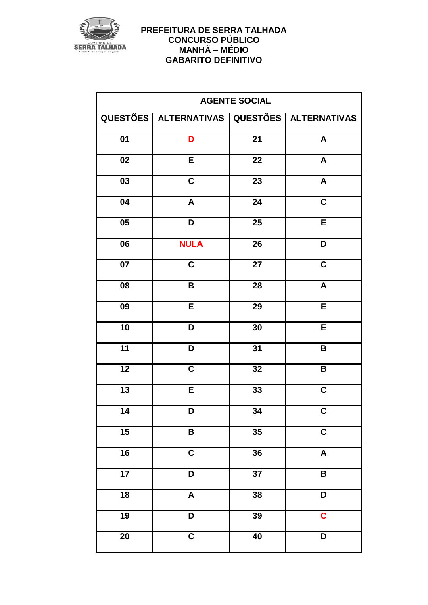

| <b>AGENTE SOCIAL</b> |                         |                 |                           |
|----------------------|-------------------------|-----------------|---------------------------|
|                      | QUESTÕES   ALTERNATIVAS | <b>QUESTÕES</b> | <b>ALTERNATIVAS</b>       |
| $\overline{01}$      | D                       | $\overline{21}$ | $\boldsymbol{\mathsf{A}}$ |
| $\overline{02}$      | E                       | $\overline{22}$ | $\boldsymbol{\mathsf{A}}$ |
| $\overline{03}$      | $\overline{\mathsf{c}}$ | $\overline{23}$ | $\overline{A}$            |
| 04                   | $\pmb{\mathsf{A}}$      | $\overline{24}$ | $\overline{\mathbf{C}}$   |
| $\overline{05}$      | $\overline{\mathsf{D}}$ | $\overline{25}$ | E                         |
| 06                   | <b>NULA</b>             | $\overline{26}$ | D                         |
| $\overline{07}$      | $\mathbf C$             | $\overline{27}$ | $\overline{\mathsf{c}}$   |
| $\overline{08}$      | $\overline{\mathbf{B}}$ | $\overline{28}$ | $\overline{\mathsf{A}}$   |
| 09                   | E                       | 29              | $\overline{E}$            |
| 10                   | D                       | 30              | $\overline{E}$            |
| 11                   | D                       | 31              | B                         |
| $\overline{12}$      | $\overline{\mathbf{C}}$ | 32              | $\overline{\mathbf{B}}$   |
| $\overline{13}$      | $\overline{E}$          | 33              | $\overline{c}$            |
| 14                   | D                       | $\overline{34}$ | $\overline{c}$            |
| $\overline{15}$      | $\overline{\mathbf{B}}$ | 35              | $\overline{c}$            |
| 16                   | $\overline{c}$          | 36              | $\pmb{\mathsf{A}}$        |
| 17                   | D                       | $\overline{37}$ | $\overline{\mathbf{B}}$   |
| $\overline{18}$      | $\overline{\mathbf{A}}$ | 38              | $\overline{\mathsf{D}}$   |
| 19                   | $\overline{\mathsf{D}}$ | 39              | $\overline{\mathbf{C}}$   |
| $\overline{20}$      | $\overline{\mathsf{C}}$ | $\overline{40}$ | $\overline{\mathsf{D}}$   |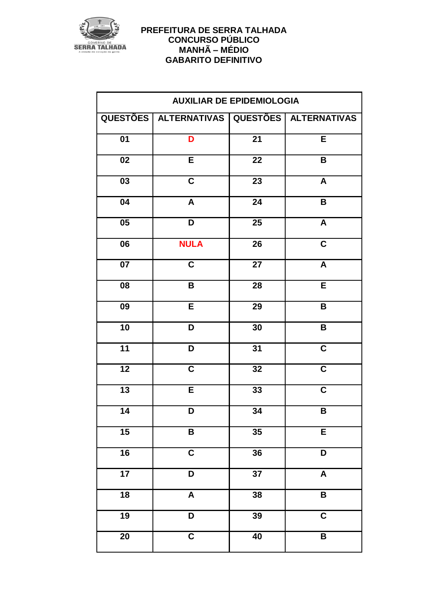

| <b>AUXILIAR DE EPIDEMIOLOGIA</b> |                                                   |                 |                         |
|----------------------------------|---------------------------------------------------|-----------------|-------------------------|
|                                  | QUESTÕES   ALTERNATIVAS   QUESTÕES   ALTERNATIVAS |                 |                         |
| $\overline{01}$                  | D                                                 | $\overline{21}$ | E                       |
| $\overline{02}$                  | E                                                 | 22              | $\pmb{\mathsf{B}}$      |
| 03                               | $\overline{\mathbf{C}}$                           | $\overline{23}$ | $\boldsymbol{A}$        |
| 04                               | A                                                 | 24              | B                       |
| $\overline{05}$                  | D                                                 | 25              | $\overline{\mathsf{A}}$ |
| 06                               | <b>NULA</b>                                       | 26              | $\overline{\mathbf{C}}$ |
| $\overline{07}$                  | $\overline{\mathsf{C}}$                           | $\overline{27}$ | $\overline{\mathsf{A}}$ |
| 08                               | $\overline{\mathbf{B}}$                           | $\overline{28}$ | E                       |
| $\overline{09}$                  | $\overline{E}$                                    | 29              | $\pmb{\mathsf{B}}$      |
| 10                               | D                                                 | 30              | B                       |
| $\overline{11}$                  | D                                                 | 31              | $\overline{\mathbf{C}}$ |
| $\overline{12}$                  | $\overline{\mathsf{c}}$                           | 32              | $\overline{\mathsf{c}}$ |
| $\overline{13}$                  | E                                                 | 33              | $\overline{\mathbf{C}}$ |
| 14                               | D                                                 | 34              | B                       |
| $\overline{15}$                  | $\overline{\mathbf{B}}$                           | 35              | E                       |
| $\overline{16}$                  | $\overline{c}$                                    | 36              | D                       |
| 17                               | $\overline{\mathsf{D}}$                           | $\overline{37}$ | $\overline{\mathsf{A}}$ |
| $\overline{18}$                  | $\pmb{\mathsf{A}}$                                | 38              | $\pmb{\mathsf{B}}$      |
| $\overline{19}$                  | D                                                 | $\overline{39}$ | $\overline{\mathbf{c}}$ |
| $\overline{20}$                  | $\overline{\mathsf{c}}$                           | $\overline{40}$ | $\overline{\mathbf{B}}$ |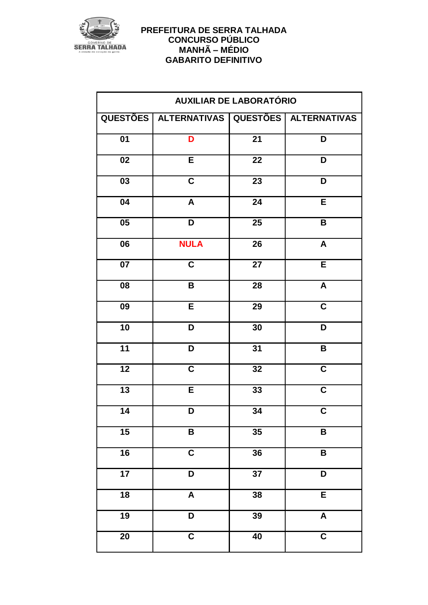

| <b>AUXILIAR DE LABORATÓRIO</b> |                                                   |                 |                           |
|--------------------------------|---------------------------------------------------|-----------------|---------------------------|
|                                | QUESTÕES   ALTERNATIVAS   QUESTÕES   ALTERNATIVAS |                 |                           |
| $\overline{01}$                | D                                                 | $\overline{21}$ | D                         |
| $\overline{02}$                | $\overline{E}$                                    | $\overline{22}$ | D                         |
| $\overline{03}$                | $\overline{\mathsf{C}}$                           | $\overline{23}$ | D                         |
| 04                             | $\boldsymbol{\mathsf{A}}$                         | $\overline{24}$ | $\mathsf E$               |
| $\overline{05}$                | D                                                 | $\overline{25}$ | $\pmb{\mathsf{B}}$        |
| $\overline{06}$                | <b>NULA</b>                                       | $\overline{26}$ | $\boldsymbol{\mathsf{A}}$ |
| $\overline{07}$                | $\mathbf C$                                       | $\overline{27}$ | E                         |
| 08                             | B                                                 | $\overline{28}$ | $\overline{\mathsf{A}}$   |
| $\overline{09}$                | $\overline{E}$                                    | $\overline{29}$ | $\overline{\mathbf{c}}$   |
| 10                             | D                                                 | 30              | D                         |
| $\overline{11}$                | D                                                 | 31              | $\pmb{\mathsf{B}}$        |
| $\overline{12}$                | $\overline{\mathsf{c}}$                           | 32              | $\overline{\mathbf{C}}$   |
| $\overline{13}$                | $\overline{E}$                                    | 33              | $\overline{\mathbf{C}}$   |
| 14                             | D                                                 | $\overline{34}$ | $\overline{\mathbf{C}}$   |
| 15                             | B                                                 | 35              | B                         |
| $\overline{16}$                | $\overline{\mathbf{C}}$                           | 36              | $\pmb{\mathsf{B}}$        |
| $\overline{17}$                | $\overline{\mathsf{D}}$                           | $\overline{37}$ | D                         |
| $\overline{18}$                | $\pmb{\mathsf{A}}$                                | 38              | $\overline{E}$            |
| $\overline{19}$                | $\overline{\mathsf{D}}$                           | 39              | $\overline{\mathsf{A}}$   |
| $\overline{20}$                | $\overline{\mathsf{c}}$                           | $\overline{40}$ | $\overline{\mathbf{C}}$   |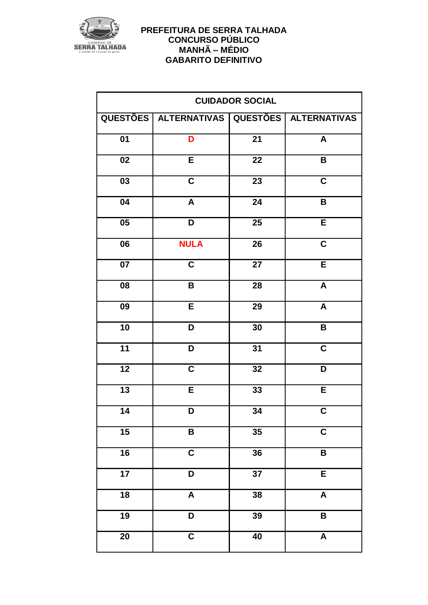

| <b>CUIDADOR SOCIAL</b> |                                                   |                 |                           |
|------------------------|---------------------------------------------------|-----------------|---------------------------|
|                        | QUESTÕES   ALTERNATIVAS   QUESTÕES   ALTERNATIVAS |                 |                           |
| $\overline{01}$        | D                                                 | $\overline{21}$ | $\boldsymbol{\mathsf{A}}$ |
| 02                     | E                                                 | 22              | $\overline{\mathbf{B}}$   |
| $\overline{03}$        | $\overline{\mathsf{c}}$                           | $\overline{23}$ | $\overline{\mathbf{C}}$   |
| $\overline{04}$        | $\pmb{\mathsf{A}}$                                | $\overline{24}$ | $\overline{\mathbf{B}}$   |
| $\overline{05}$        | $\overline{\mathsf{D}}$                           | $\overline{25}$ | E                         |
| 06                     | <b>NULA</b>                                       | $\overline{26}$ | $\overline{\mathbf{C}}$   |
| $\overline{07}$        | $\overline{\mathbf{C}}$                           | $\overline{27}$ | $\overline{\mathsf{E}}$   |
| $\overline{08}$        | $\overline{\mathbf{B}}$                           | $\overline{28}$ | $\overline{A}$            |
| 09                     | E                                                 | $\overline{29}$ | $\overline{A}$            |
| 10                     | D                                                 | 30              | $\pmb{\mathsf{B}}$        |
| $\overline{11}$        | D                                                 | 31              | $\overline{\mathbf{C}}$   |
| $\overline{12}$        | $\overline{\mathbf{C}}$                           | $\overline{32}$ | $\overline{\mathsf{D}}$   |
| $\overline{13}$        | E                                                 | 33              | E                         |
| $\overline{14}$        | D                                                 | $\overline{34}$ | $\overline{\mathbf{c}}$   |
| 15                     | B                                                 | 35              | $\overline{c}$            |
| 16                     | $\overline{\mathsf{C}}$                           | 36              | $\overline{\mathbf{B}}$   |
| $\overline{17}$        | $\overline{\mathsf{D}}$                           | $\overline{37}$ | E                         |
| $\overline{18}$        | $\overline{\mathbf{A}}$                           | 38              | $\overline{\mathsf{A}}$   |
| $\overline{19}$        | $\overline{\mathsf{D}}$                           | $\overline{39}$ | $\overline{\mathbf{B}}$   |
| $\overline{20}$        | $\overline{c}$                                    | $\overline{40}$ | $\overline{\mathsf{A}}$   |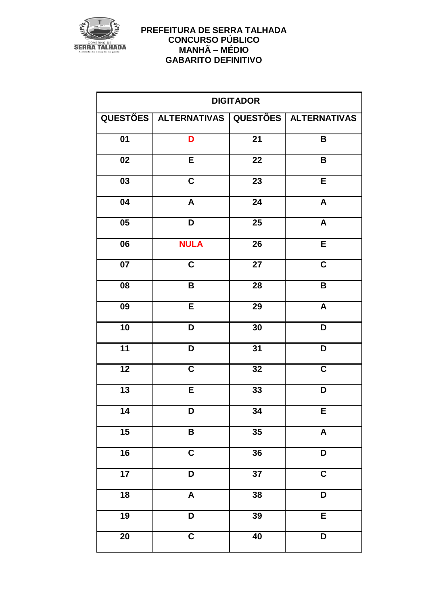

| <b>DIGITADOR</b> |                                                   |                 |                         |
|------------------|---------------------------------------------------|-----------------|-------------------------|
|                  | QUESTÕES   ALTERNATIVAS   QUESTÕES   ALTERNATIVAS |                 |                         |
| $\overline{01}$  | D                                                 | $\overline{21}$ | $\pmb{\mathsf{B}}$      |
| 02               | E                                                 | 22              | $\pmb{\mathsf{B}}$      |
| $\overline{03}$  | $\overline{\mathbf{C}}$                           | $\overline{23}$ | $\overline{E}$          |
| 04               | $\pmb{\mathsf{A}}$                                | $\overline{24}$ | $\overline{\mathsf{A}}$ |
| $\overline{05}$  | $\overline{\mathsf{D}}$                           | $\overline{25}$ | $\overline{\mathsf{A}}$ |
| 06               | <b>NULA</b>                                       | $\overline{26}$ | E                       |
| $\overline{07}$  | $\mathbf C$                                       | $\overline{27}$ | $\overline{\mathsf{c}}$ |
| $\overline{08}$  | $\overline{\mathbf{B}}$                           | $\overline{28}$ | $\overline{\mathbf{B}}$ |
| 09               | $\overline{E}$                                    | 29              | $\overline{\mathbf{A}}$ |
| 10               | D                                                 | 30              | D                       |
| 11               | D                                                 | 31              | $\overline{\mathsf{D}}$ |
| $\overline{12}$  | $\overline{\mathbf{C}}$                           | $\overline{32}$ | $\overline{\mathbf{C}}$ |
| $\overline{13}$  | E                                                 | 33              | D                       |
| $\overline{14}$  | D                                                 | $\overline{34}$ | E                       |
| 15               | $\overline{\mathbf{B}}$                           | 35              | $\pmb{\mathsf{A}}$      |
| 16               | $\overline{\mathbf{C}}$                           | $\overline{36}$ | $\overline{\mathsf{D}}$ |
| 17               | D                                                 | $\overline{37}$ | $\overline{\mathsf{C}}$ |
| $\overline{18}$  | $\overline{A}$                                    | $\overline{38}$ | $\overline{\mathsf{D}}$ |
| $\overline{19}$  | $\overline{\mathsf{D}}$                           | $\overline{39}$ | E                       |
| $\overline{20}$  | $\overline{\mathbf{C}}$                           | $\overline{40}$ | $\overline{\mathsf{D}}$ |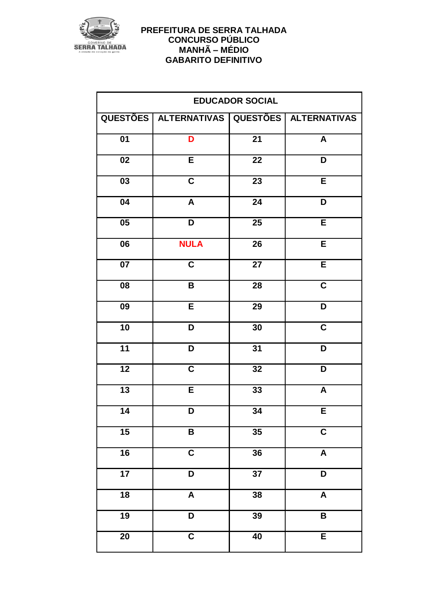

| <b>EDUCADOR SOCIAL</b> |                                                   |                 |                           |
|------------------------|---------------------------------------------------|-----------------|---------------------------|
|                        | QUESTÕES   ALTERNATIVAS   QUESTÕES   ALTERNATIVAS |                 |                           |
| $\overline{01}$        | D                                                 | $\overline{21}$ | $\pmb{\mathsf{A}}$        |
| 02                     | E                                                 | 22              | D                         |
| $\overline{03}$        | $\overline{\mathsf{c}}$                           | $\overline{23}$ | $\overline{E}$            |
| 04                     | $\pmb{\mathsf{A}}$                                | $\overline{24}$ | D                         |
| $\overline{05}$        | $\overline{\mathsf{D}}$                           | $\overline{25}$ | E                         |
| 06                     | <b>NULA</b>                                       | $\overline{26}$ | E                         |
| $\overline{07}$        | $\mathbf C$                                       | $\overline{27}$ | E                         |
| $\overline{08}$        | $\overline{\mathbf{B}}$                           | $\overline{28}$ | $\overline{\mathbf{C}}$   |
| 09                     | E                                                 | 29              | $\overline{\mathsf{D}}$   |
| 10                     | D                                                 | 30              | $\overline{c}$            |
| $\overline{11}$        | D                                                 | 31              | $\overline{\mathsf{D}}$   |
| $\overline{12}$        | $\overline{\mathbf{C}}$                           | $\overline{3}2$ | D                         |
| $\overline{13}$        | E                                                 | 33              | $\boldsymbol{\mathsf{A}}$ |
| $\overline{14}$        | D                                                 | $\overline{34}$ | E                         |
| 15                     | $\overline{\mathbf{B}}$                           | 35              | $\overline{c}$            |
| 16                     | $\overline{\mathbf{C}}$                           | 36              | $\overline{A}$            |
| 17                     | D                                                 | $\overline{37}$ | $\overline{D}$            |
| $\overline{18}$        | $\overline{\mathbf{A}}$                           | 38              | $\overline{\mathsf{A}}$   |
| $\overline{19}$        | $\overline{\mathsf{D}}$                           | $\overline{39}$ | $\overline{\mathbf{B}}$   |
| $\overline{20}$        | $\overline{\mathbf{C}}$                           | $\overline{40}$ | $\overline{\mathsf{E}}$   |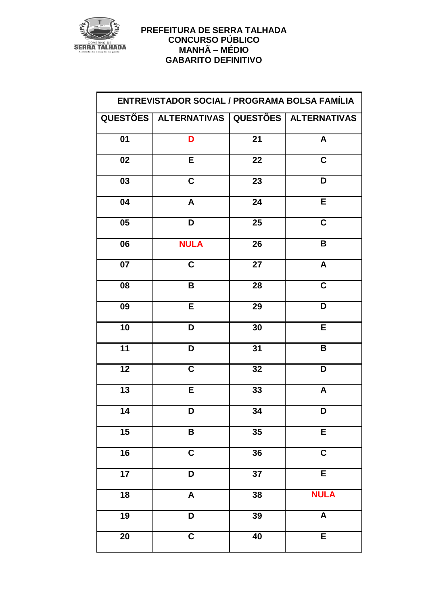

| ENTREVISTADOR SOCIAL / PROGRAMA BOLSA FAMÍLIA |                         |                 |                           |
|-----------------------------------------------|-------------------------|-----------------|---------------------------|
|                                               | QUESTÕES   ALTERNATIVAS |                 | QUESTÕES ALTERNATIVAS     |
| $\overline{01}$                               | D                       | $\overline{21}$ | $\boldsymbol{\mathsf{A}}$ |
| 02                                            | E                       | 22              | $\overline{\mathbf{C}}$   |
| $\overline{03}$                               | $\overline{c}$          | $\overline{23}$ | $\overline{\mathsf{D}}$   |
| 04                                            | $\boldsymbol{A}$        | 24              | Ē                         |
| $\overline{\overline{\textbf{05}}}$           | $\overline{\mathsf{D}}$ | 25              | $\overline{\mathsf{c}}$   |
| 06                                            | <b>NULA</b>             | 26              | B                         |
| 07                                            | $\mathbf C$             | 27              | $\overline{\mathsf{A}}$   |
| $\overline{08}$                               | $\overline{B}$          | $\overline{28}$ | $\overline{\mathbf{C}}$   |
| 09                                            | E                       | 29              | $\overline{\mathsf{D}}$   |
| 10                                            | D                       | 30              | $\overline{E}$            |
| $\overline{11}$                               | D                       | 31              | $\overline{\mathbf{B}}$   |
| $\overline{12}$                               | $\overline{\mathbf{C}}$ | 32              | $\overline{\mathsf{D}}$   |
| 13                                            | E                       | 33              | $\boldsymbol{A}$          |
| 14                                            | D                       | $\overline{34}$ | D                         |
| $\overline{15}$                               | B                       | 35              | $\overline{E}$            |
| $\overline{16}$                               | $\overline{\mathbf{C}}$ | 36              | $\overline{\mathsf{C}}$   |
| 17                                            | D                       | 37              | $\overline{E}$            |
| $\overline{18}$                               | $\overline{\mathbf{A}}$ | 38              | <b>NULA</b>               |
| 19                                            | D                       | $\overline{39}$ | $\overline{\mathsf{A}}$   |
| $\overline{20}$                               | $\overline{\mathbf{C}}$ | $\overline{40}$ | $\overline{\mathsf{E}}$   |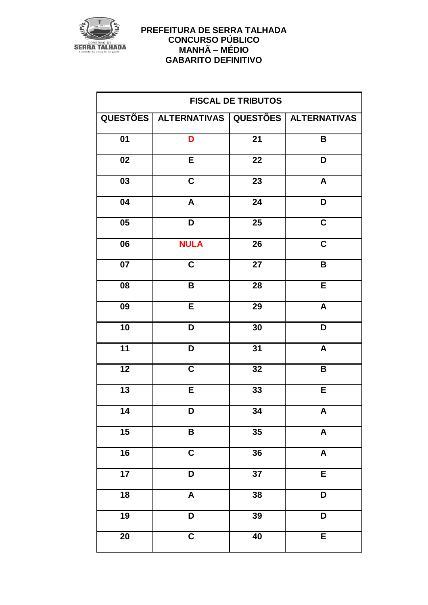

| <b>FISCAL DE TRIBUTOS</b> |                                                   |                 |                           |
|---------------------------|---------------------------------------------------|-----------------|---------------------------|
|                           | QUESTÕES   ALTERNATIVAS   QUESTÕES   ALTERNATIVAS |                 |                           |
| $\overline{01}$           | D                                                 | $\overline{21}$ | $\mathbf B$               |
| 02                        | E                                                 | 22              | D                         |
| $\overline{03}$           | $\overline{\mathsf{C}}$                           | $\overline{23}$ | $\mathsf{A}$              |
| 04                        | $\mathsf{A}$                                      | $\overline{24}$ | D                         |
| $\overline{05}$           | $\overline{\mathsf{D}}$                           | $\overline{25}$ | $\overline{\mathsf{c}}$   |
| 06                        | <b>NULA</b>                                       | $\overline{26}$ | $\overline{\mathsf{c}}$   |
| $\overline{07}$           | $\mathbf C$                                       | $\overline{27}$ | $\pmb{\mathsf{B}}$        |
| $\overline{08}$           | $\overline{\mathbf{B}}$                           | $\overline{28}$ | $\overline{E}$            |
| 09                        | $\overline{E}$                                    | 29              | $\overline{\mathbf{A}}$   |
| 10                        | D                                                 | 30              | D                         |
| $\overline{11}$           | D                                                 | 31              | $\boldsymbol{\mathsf{A}}$ |
| $\overline{12}$           | $\overline{\mathsf{c}}$                           | 32              | $\pmb{\mathsf{B}}$        |
| $\overline{13}$           | $\overline{E}$                                    | 33              | $\overline{E}$            |
| $\overline{14}$           | D                                                 | $\overline{34}$ | $\boldsymbol{\mathsf{A}}$ |
| 15                        | $\overline{\mathbf{B}}$                           | 35              | $\pmb{\mathsf{A}}$        |
| 16                        | $\overline{\mathsf{c}}$                           | 36              | $\overline{A}$            |
| 17                        | D                                                 | $\overline{37}$ | $\overline{E}$            |
| $\overline{18}$           | $\overline{A}$                                    | 38              | $\overline{\mathsf{D}}$   |
| $\overline{19}$           | $\overline{\mathsf{D}}$                           | $\overline{39}$ | D                         |
| $\overline{20}$           | $\overline{\mathbf{C}}$                           | $\overline{40}$ | $\overline{E}$            |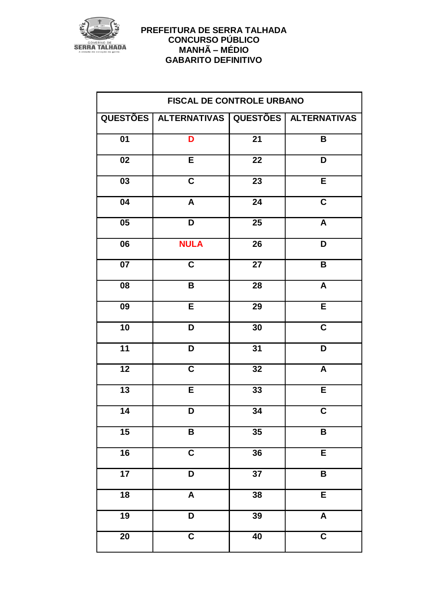

| FISCAL DE CONTROLE URBANO |                         |                 |                         |
|---------------------------|-------------------------|-----------------|-------------------------|
|                           | QUESTÕES   ALTERNATIVAS |                 | QUESTÕES   ALTERNATIVAS |
| $\overline{01}$           | D                       | $\overline{21}$ | $\pmb{\mathsf{B}}$      |
| 02                        | E                       | 22              | D                       |
| $\overline{03}$           | $\overline{\mathsf{c}}$ | $\overline{23}$ | $\overline{E}$          |
| 04                        | A                       | 24              | $\overline{\mathbf{C}}$ |
| $\overline{05}$           | $\overline{\mathsf{D}}$ | 25              | $\overline{\mathsf{A}}$ |
| 06                        | <b>NULA</b>             | $\overline{26}$ | D                       |
| $\overline{07}$           | $\mathbf C$             | $\overline{27}$ | $\, {\bf B}$            |
| $\overline{08}$           | $\overline{\mathbf{B}}$ | $\overline{28}$ | $\overline{\mathbf{A}}$ |
| 09                        | E                       | 29              | $\overline{E}$          |
| 10                        | D                       | 30              | $\overline{\mathbf{C}}$ |
| $\overline{11}$           | D                       | 31              | D                       |
| $\overline{12}$           | $\overline{\mathbf{C}}$ | 32              | $\boldsymbol{A}$        |
| $\overline{13}$           | $\overline{E}$          | 33              | $\overline{E}$          |
| 14                        | D                       | 34              | $\mathbf C$             |
| $\overline{15}$           | B                       | 35              | B                       |
| 16                        | $\overline{\mathsf{c}}$ | 36              | E                       |
| 17                        | D                       | $\overline{37}$ | $\pmb{\mathsf{B}}$      |
| $\overline{18}$           | $\overline{A}$          | 38              | $\overline{\mathsf{E}}$ |
| $\overline{19}$           | $\overline{\mathsf{D}}$ | $\overline{39}$ | $\overline{\mathsf{A}}$ |
| $\overline{20}$           | $\overline{\mathsf{C}}$ | $\overline{40}$ | $\overline{\mathsf{c}}$ |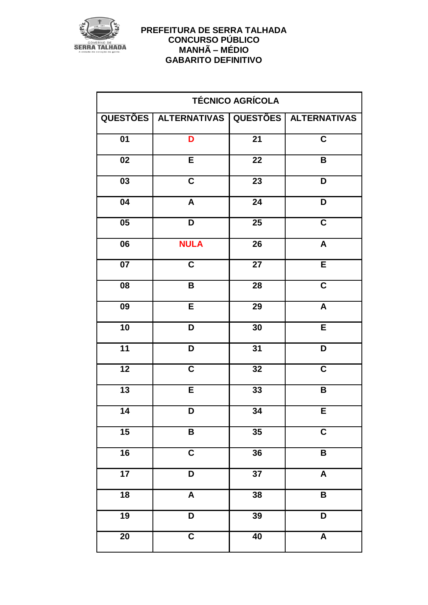

| <b>TÉCNICO AGRÍCOLA</b> |                         |                 |                         |
|-------------------------|-------------------------|-----------------|-------------------------|
|                         | QUESTÕES   ALTERNATIVAS |                 | QUESTÕES   ALTERNATIVAS |
| $\overline{01}$         | D                       | $\overline{21}$ | $\overline{\mathbf{C}}$ |
| $\overline{02}$         | E                       | $\overline{22}$ | $\pmb{\mathsf{B}}$      |
| $\overline{03}$         | $\overline{\mathsf{c}}$ | $\overline{23}$ | D                       |
| 04                      | A                       | 24              | D                       |
| $\overline{05}$         | $\overline{\mathsf{D}}$ | $\overline{25}$ | $\overline{\mathsf{c}}$ |
| 06                      | <b>NULA</b>             | $\overline{26}$ | $\pmb{\mathsf{A}}$      |
| $\overline{07}$         | $\mathbf C$             | $\overline{27}$ | E                       |
| $\overline{08}$         | $\overline{\mathsf{B}}$ | $\overline{28}$ | $\overline{\mathsf{c}}$ |
| 09                      | E                       | 29              | $\overline{\mathbf{A}}$ |
| 10                      | D                       | 30              | E                       |
| $\overline{11}$         | D                       | 31              | D                       |
| $\overline{12}$         | $\overline{\mathbf{C}}$ | 32              | $\overline{\mathbf{c}}$ |
| $\overline{13}$         | $\overline{E}$          | 33              | B                       |
| 14                      | D                       | $\overline{34}$ | E                       |
| $\overline{15}$         | B                       | 35              | $\overline{c}$          |
| 16                      | $\overline{\mathsf{c}}$ | 36              | B                       |
| 17                      | D                       | $\overline{37}$ | $\overline{\mathsf{A}}$ |
| $\overline{18}$         | $\overline{A}$          | 38              | $\overline{\mathbf{B}}$ |
| $\overline{19}$         | $\overline{\mathsf{D}}$ | $\overline{39}$ | $\overline{\mathsf{D}}$ |
| $\overline{20}$         | $\overline{\mathsf{C}}$ | $\overline{40}$ | $\overline{\mathsf{A}}$ |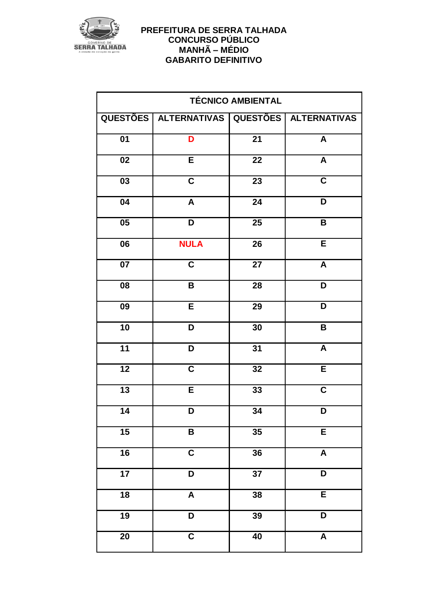

| <b>TÉCNICO AMBIENTAL</b> |                                                   |                 |                         |
|--------------------------|---------------------------------------------------|-----------------|-------------------------|
|                          | QUESTÕES   ALTERNATIVAS   QUESTÕES   ALTERNATIVAS |                 |                         |
| $\overline{01}$          | D                                                 | $\overline{21}$ | $\pmb{\mathsf{A}}$      |
| 02                       | E                                                 | 22              | $\overline{\mathbf{A}}$ |
| $\overline{03}$          | $\overline{\mathsf{c}}$                           | $\overline{23}$ | $\overline{\mathbf{C}}$ |
| 04                       | $\pmb{\mathsf{A}}$                                | $\overline{24}$ | $\overline{\mathsf{D}}$ |
| $\overline{05}$          | $\overline{\mathsf{D}}$                           | $\overline{25}$ | $\overline{\mathsf{B}}$ |
| 06                       | <b>NULA</b>                                       | $\overline{26}$ | E                       |
| $\overline{07}$          | $\mathbf C$                                       | $\overline{27}$ | $\overline{\mathsf{A}}$ |
| $\overline{08}$          | $\overline{\mathbf{B}}$                           | $\overline{28}$ | $\overline{\mathsf{D}}$ |
| 09                       | E                                                 | 29              | D                       |
| 10                       | D                                                 | 30              | B                       |
| $\overline{11}$          | D                                                 | $\overline{31}$ | $\overline{\mathsf{A}}$ |
| $\overline{12}$          | $\overline{\mathbf{C}}$                           | $\overline{3}2$ | E                       |
| $\overline{13}$          | E                                                 | 33              | $\overline{\mathsf{c}}$ |
| $\overline{14}$          | D                                                 | $\overline{34}$ | $\overline{\mathsf{D}}$ |
| $\overline{15}$          | $\overline{\mathbf{B}}$                           | $\overline{35}$ | E                       |
| 16                       | $\overline{\mathbf{C}}$                           | 36              | $\overline{\mathsf{A}}$ |
| 17                       | D                                                 | $\overline{37}$ | $\overline{D}$          |
| $\overline{18}$          | $\overline{\mathbf{A}}$                           | 38              | E                       |
| $\overline{19}$          | $\overline{\mathsf{D}}$                           | $\overline{39}$ | $\overline{\mathsf{D}}$ |
| $\overline{20}$          | $\overline{\mathbf{C}}$                           | $\overline{40}$ | $\overline{\mathbf{A}}$ |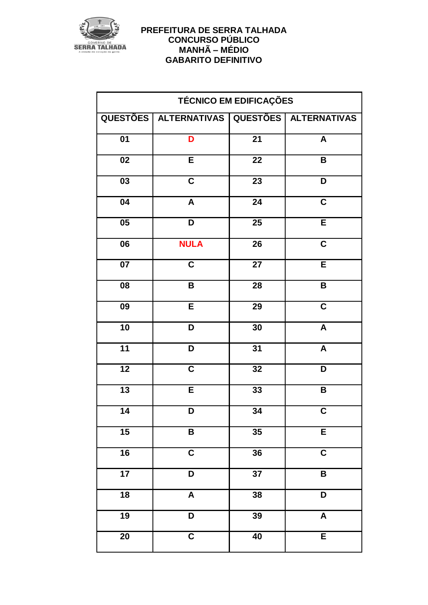

| <b>TÉCNICO EM EDIFICAÇÕES</b>       |                                                   |                 |                           |
|-------------------------------------|---------------------------------------------------|-----------------|---------------------------|
|                                     | QUESTÕES   ALTERNATIVAS   QUESTÕES   ALTERNATIVAS |                 |                           |
| $\overline{01}$                     | D                                                 | $\overline{21}$ | $\pmb{\mathsf{A}}$        |
| 02                                  | E                                                 | $\overline{22}$ | $\overline{\mathbf{B}}$   |
| $\overline{03}$                     | $\overline{\mathsf{c}}$                           | $\overline{23}$ | $\overline{\mathsf{D}}$   |
| $\overline{04}$                     | $\overline{A}$                                    | $\overline{24}$ | $\overline{\mathbf{c}}$   |
| $\overline{\overline{\mathbf{05}}}$ | $\overline{\mathsf{D}}$                           | $\overline{25}$ | E                         |
| $\overline{06}$                     | <b>NULA</b>                                       | $\overline{26}$ | $\overline{\mathbf{C}}$   |
| $\overline{07}$                     | $\overline{\mathbf{C}}$                           | $\overline{27}$ | E                         |
| $\overline{08}$                     | $\overline{\mathbf{B}}$                           | $\overline{28}$ | $\overline{\mathsf{B}}$   |
| 09                                  | $\overline{E}$                                    | $\overline{29}$ | $\overline{\mathbf{C}}$   |
| 10                                  | D                                                 | 30              | $\pmb{\mathsf{A}}$        |
| 11                                  | D                                                 | $\overline{31}$ | $\overline{\mathsf{A}}$   |
| $\overline{12}$                     | $\overline{\mathbf{C}}$                           | $\overline{32}$ | $\overline{\mathsf{D}}$   |
| $\overline{13}$                     | E                                                 | 33              | $\pmb{\mathsf{B}}$        |
| $\overline{14}$                     | D                                                 | $\overline{34}$ | $\overline{\mathsf{c}}$   |
| $\overline{15}$                     | B                                                 | $\overline{35}$ | $\overline{E}$            |
| 16                                  | $\overline{\mathbf{C}}$                           | 36              | $\overline{\mathbf{C}}$   |
| $\overline{17}$                     | D                                                 | $\overline{37}$ | $\pmb{\mathsf{B}}$        |
| $\overline{18}$                     | $\overline{\mathbf{A}}$                           | 38              | $\overline{\mathsf{D}}$   |
| $\overline{19}$                     | D                                                 | $\overline{39}$ | $\boldsymbol{\mathsf{A}}$ |
| $\overline{20}$                     | $\overline{\mathbf{C}}$                           | $\overline{40}$ | $\overline{\mathsf{E}}$   |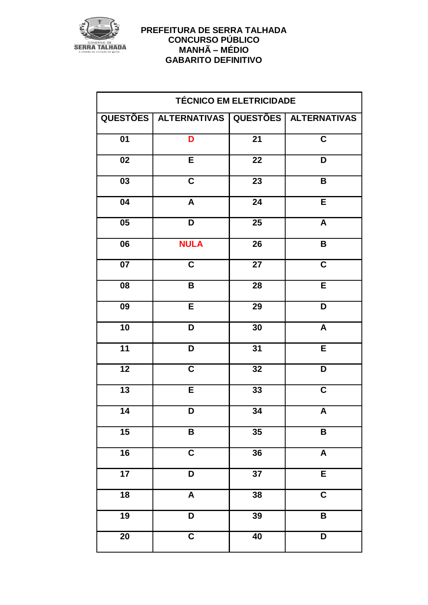

| <b>TÉCNICO EM ELETRICIDADE</b> |                                                   |                 |                         |
|--------------------------------|---------------------------------------------------|-----------------|-------------------------|
|                                | QUESTÕES   ALTERNATIVAS   QUESTÕES   ALTERNATIVAS |                 |                         |
| $\overline{01}$                | D                                                 | $\overline{21}$ | $\overline{\mathbf{C}}$ |
| $\overline{02}$                | E                                                 | $\overline{22}$ | D                       |
| 03                             | $\overline{\mathbf{C}}$                           | $\overline{23}$ | $\mathbf B$             |
| 04                             | $\pmb{\mathsf{A}}$                                | 24              | E                       |
| $\overline{05}$                | $\overline{\mathsf{D}}$                           | $\overline{25}$ | $\overline{\mathsf{A}}$ |
| 06                             | <b>NULA</b>                                       | 26              | $\pmb{\mathsf{B}}$      |
| $\overline{07}$                | $\overline{\mathsf{C}}$                           | $\overline{27}$ | $\overline{\mathbf{C}}$ |
| 08                             | $\overline{\mathbf{B}}$                           | $\overline{28}$ | E                       |
| $\overline{09}$                | $\overline{E}$                                    | $\overline{29}$ | $\overline{\mathsf{D}}$ |
| 10                             | D                                                 | 30              | $\pmb{\mathsf{A}}$      |
| 11                             | D                                                 | 31              | E                       |
| $\overline{12}$                | $\overline{\mathsf{c}}$                           | $\overline{32}$ | $\overline{\mathsf{D}}$ |
| $\overline{13}$                | $\overline{E}$                                    | 33              | $\overline{\mathbf{C}}$ |
| 14                             | D                                                 | $\overline{34}$ | A                       |
| 15                             | $\overline{\mathbf{B}}$                           | 35              | B                       |
| $\overline{16}$                | $\overline{c}$                                    | 36              | $\pmb{\mathsf{A}}$      |
| 17                             | $\overline{\mathsf{D}}$                           | $\overline{37}$ | $\overline{E}$          |
| $\overline{18}$                | $\pmb{\mathsf{A}}$                                | 38              | $\overline{\mathsf{c}}$ |
| $\overline{19}$                | D                                                 | $\overline{39}$ | $\overline{\mathbf{B}}$ |
| $\overline{20}$                | $\overline{\mathbf{C}}$                           | $\overline{40}$ | $\overline{\mathsf{D}}$ |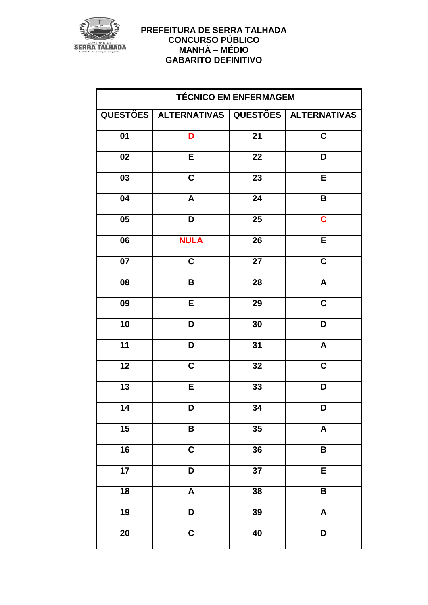

| <b>TÉCNICO EM ENFERMAGEM</b>        |                           |                 |                           |
|-------------------------------------|---------------------------|-----------------|---------------------------|
|                                     | QUESTÕES   ALTERNATIVAS   |                 | QUESTÕES   ALTERNATIVAS   |
| 01                                  | D                         | $\overline{21}$ | $\overline{\mathbf{C}}$   |
| 02                                  | E                         | 22              | D                         |
| $\overline{03}$                     | $\overline{\mathsf{c}}$   | $\overline{23}$ | $\overline{E}$            |
| 04                                  | $\boldsymbol{\mathsf{A}}$ | $\overline{24}$ | $\, {\bf B}$              |
| $\overline{\overline{\textbf{05}}}$ | D                         | $\overline{25}$ | $\overline{\mathbf{C}}$   |
| $\overline{06}$                     | <b>NULA</b>               | $\overline{26}$ | E                         |
| $\overline{07}$                     | $\overline{\mathbf{C}}$   | $\overline{27}$ | $\overline{\mathsf{c}}$   |
| 08                                  | B                         | $\overline{28}$ | $\overline{\mathsf{A}}$   |
| 09                                  | $\overline{E}$            | 29              | $\overline{\mathsf{c}}$   |
| $\overline{10}$                     | D                         | 30              | $\overline{\mathsf{D}}$   |
| $\overline{11}$                     | D                         | $\overline{31}$ | $\overline{\mathsf{A}}$   |
| $\overline{12}$                     | $\overline{\mathbf{C}}$   | $\overline{32}$ | $\overline{\mathbf{C}}$   |
| $\overline{13}$                     | E                         | $\overline{33}$ | $\overline{\mathsf{D}}$   |
| $\overline{14}$                     | D                         | $\overline{34}$ | D                         |
| 15                                  | B                         | $\overline{35}$ | $\boldsymbol{\mathsf{A}}$ |
| $\overline{16}$                     | $\overline{\mathsf{c}}$   | 36              | $\overline{\mathbf{B}}$   |
| $\overline{17}$                     | D                         | $\overline{37}$ | E                         |
| $\overline{18}$                     | $\overline{\mathsf{A}}$   | $\overline{38}$ | $\overline{\mathsf{B}}$   |
| 19                                  | D                         | 39              | $\boldsymbol{\mathsf{A}}$ |
| $\overline{20}$                     | $\overline{\mathbf{C}}$   | 40              | $\overline{\mathsf{D}}$   |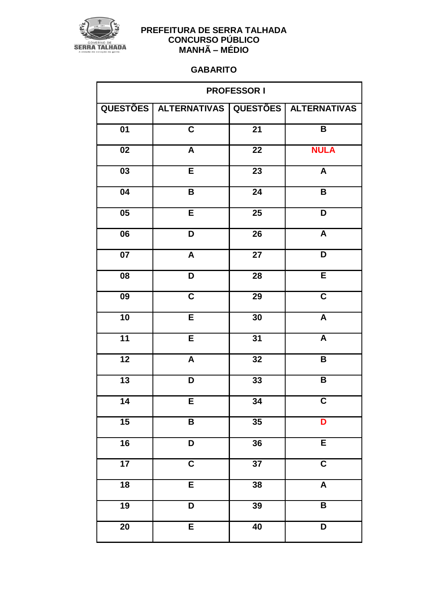

#### PREFEITURA DE SERRA TALHADA **CONCURSO PÚBLICO MANHÃ – MÉDIO**

# **GABARITO**

| <b>PROFESSOR I</b> |                                                   |                 |                           |
|--------------------|---------------------------------------------------|-----------------|---------------------------|
|                    | QUESTÕES   ALTERNATIVAS   QUESTÕES   ALTERNATIVAS |                 |                           |
| $\overline{01}$    | $\overline{\mathsf{c}}$                           | $\overline{21}$ | $\pmb{\mathsf{B}}$        |
| $\overline{02}$    | $\overline{\mathbf{A}}$                           | $\overline{22}$ | <b>NULA</b>               |
| 03                 | E                                                 | 23              | $\boldsymbol{\mathsf{A}}$ |
| $\overline{04}$    | B                                                 | $\overline{24}$ | $\overline{\mathbf{B}}$   |
| $\overline{05}$    | $\overline{\mathsf{E}}$                           | $\overline{25}$ | $\overline{\mathsf{D}}$   |
| $\overline{06}$    | $\overline{\mathsf{D}}$                           | $\overline{26}$ | $\overline{A}$            |
| $\overline{07}$    | $\overline{\mathbf{A}}$                           | $\overline{27}$ | $\overline{\mathsf{D}}$   |
| 08                 | D                                                 | 28              | $\overline{\mathsf{E}}$   |
| $\overline{09}$    | $\overline{\mathsf{C}}$                           | $\overline{29}$ | $\overline{\mathsf{c}}$   |
| 10                 | E                                                 | 30              | $\overline{\mathsf{A}}$   |
| $\overline{11}$    | E                                                 | $\overline{31}$ | $\overline{\mathsf{A}}$   |
| $\overline{12}$    | $\pmb{\mathsf{A}}$                                | 32              | $\overline{\mathbf{B}}$   |
| $\overline{13}$    | D                                                 | 33              | $\overline{\mathbf{B}}$   |
| $\overline{14}$    | Ē                                                 | 34              | $\overline{\mathsf{C}}$   |
| $\overline{15}$    | B                                                 | $\overline{35}$ | D                         |
| $\overline{16}$    | D                                                 | $\overline{36}$ | $\overline{E}$            |
| 17                 | $\overline{\mathbf{C}}$                           | $\overline{37}$ | $\overline{\mathsf{c}}$   |
| $\overline{18}$    | E                                                 | 38              | $\overline{\mathsf{A}}$   |
| $\overline{19}$    | D                                                 | $\overline{39}$ | $\overline{\mathbf{B}}$   |
| $\overline{20}$    | E                                                 | $\overline{40}$ | $\overline{\mathsf{D}}$   |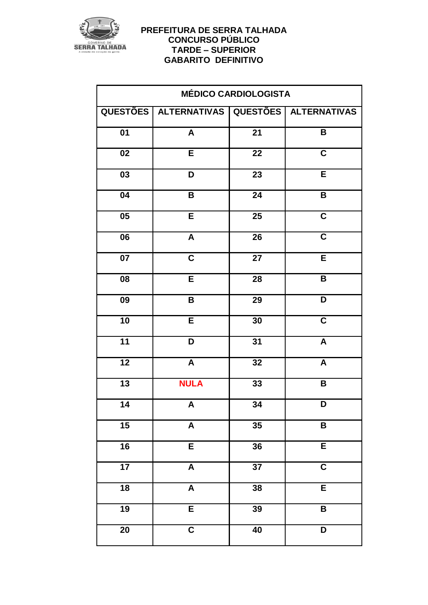

| <b>MÉDICO CARDIOLOGISTA</b> |                                                   |                 |                         |
|-----------------------------|---------------------------------------------------|-----------------|-------------------------|
|                             | QUESTÕES   ALTERNATIVAS   QUESTÕES   ALTERNATIVAS |                 |                         |
| $\overline{01}$             | $\overline{\mathbf{A}}$                           | $\overline{21}$ | B                       |
| 02                          | E                                                 | $\overline{22}$ | $\overline{\mathsf{c}}$ |
| 03                          | D                                                 | 23              | $\overline{E}$          |
| $\overline{04}$             | B                                                 | $\overline{24}$ | $\overline{\mathsf{B}}$ |
| 05                          | $\overline{E}$                                    | $\overline{25}$ | $\overline{\mathsf{c}}$ |
| $\overline{06}$             | $\overline{\mathsf{A}}$                           | $\overline{26}$ | $\overline{\mathsf{c}}$ |
| $\overline{07}$             | $\overline{\mathsf{c}}$                           | $\overline{27}$ | $\overline{\mathsf{E}}$ |
| 08                          | $\overline{E}$                                    | 28              | $\mathsf B$             |
| 09                          | B                                                 | 29              | D                       |
| 10                          | $\overline{E}$                                    | 30              | $\overline{\mathsf{c}}$ |
| $\overline{11}$             | D                                                 | $\overline{31}$ | $\overline{\mathsf{A}}$ |
| $\overline{12}$             | $\pmb{\mathsf{A}}$                                | 32              | $\overline{\mathsf{A}}$ |
| $\overline{13}$             | <b>NULA</b>                                       | 33              | B                       |
| $\overline{14}$             | $\pmb{\mathsf{A}}$                                | $\overline{34}$ | $\overline{\mathsf{D}}$ |
| 15                          | A                                                 | 35              | B                       |
| $\overline{16}$             | E                                                 | 36              | E                       |
| $\overline{17}$             | $\boldsymbol{\mathsf{A}}$                         | $\overline{37}$ | $\overline{\mathbf{C}}$ |
| $\overline{18}$             | $\overline{A}$                                    | $\overline{38}$ | E                       |
| $\overline{19}$             | E                                                 | $\overline{39}$ | $\overline{\mathbf{B}}$ |
| $\overline{20}$             | $\overline{\mathbf{C}}$                           | $\overline{40}$ | $\overline{D}$          |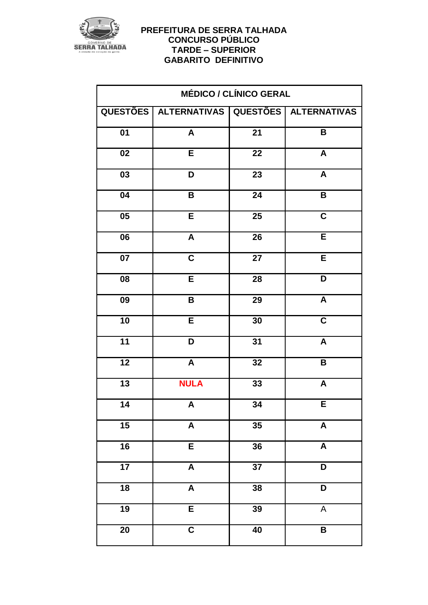

| <b>MÉDICO / CLÍNICO GERAL</b> |                                                   |                 |                           |
|-------------------------------|---------------------------------------------------|-----------------|---------------------------|
|                               | QUESTÕES   ALTERNATIVAS   QUESTÕES   ALTERNATIVAS |                 |                           |
| $\overline{01}$               | $\overline{\mathsf{A}}$                           | $\overline{21}$ | $\mathbf B$               |
| $\overline{02}$               | $\overline{E}$                                    | $\overline{22}$ | $\overline{\mathbf{A}}$   |
| $\overline{03}$               | D                                                 | $\overline{23}$ | $\pmb{\mathsf{A}}$        |
| $\overline{04}$               | B                                                 | $\overline{24}$ | $\overline{\mathbf{B}}$   |
| 05                            | $\overline{E}$                                    | 25              | $\overline{\mathbf{C}}$   |
| $\overline{06}$               | $\overline{\mathbf{A}}$                           | $\overline{26}$ | $\overline{E}$            |
| 07                            | $\overline{\mathbf{C}}$                           | 27              | $\overline{\mathsf{E}}$   |
| 08                            | $\overline{E}$                                    | $\overline{28}$ | D                         |
| $\overline{09}$               | $\overline{\mathbf{B}}$                           | $\overline{29}$ | $\overline{\mathsf{A}}$   |
| 10                            | E                                                 | 30              | $\overline{\mathbf{C}}$   |
| $\overline{11}$               | D                                                 | $\overline{31}$ | $\overline{\mathsf{A}}$   |
| $\overline{12}$               | $\pmb{\mathsf{A}}$                                | 32              | $\mathbf B$               |
| $\overline{13}$               | <b>NULA</b>                                       | $\overline{33}$ | $\pmb{\mathsf{A}}$        |
| $\overline{14}$               | $\pmb{\mathsf{A}}$                                | $\overline{34}$ | Ē                         |
| 15                            | A                                                 | 35              | $\boldsymbol{\mathsf{A}}$ |
| 16                            | E                                                 | $\overline{36}$ | $\overline{\mathsf{A}}$   |
| 17                            | $\boldsymbol{\mathsf{A}}$                         | 37              | $\overline{\mathsf{D}}$   |
| $\overline{18}$               | $\overline{A}$                                    | 38              | $\overline{\mathsf{D}}$   |
| $\overline{19}$               | E                                                 | 39              | $\overline{A}$            |
| $\overline{20}$               | $\overline{\mathbf{C}}$                           | 40              | $\overline{\mathsf{B}}$   |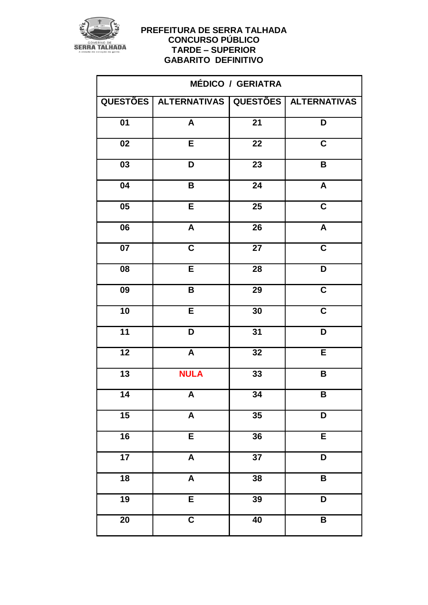

| <b>MÉDICO / GERIATRA</b> |                                                   |                 |                         |
|--------------------------|---------------------------------------------------|-----------------|-------------------------|
|                          | QUESTÕES   ALTERNATIVAS   QUESTÕES   ALTERNATIVAS |                 |                         |
| $\overline{01}$          | $\overline{\mathsf{A}}$                           | $\overline{21}$ | D                       |
| $\overline{02}$          | E                                                 | $\overline{22}$ | $\overline{\mathsf{c}}$ |
| 03                       | D                                                 | $\overline{23}$ | $\mathbf B$             |
| $\overline{04}$          | B                                                 | $\overline{24}$ | $\overline{\mathbf{A}}$ |
| 05                       | E                                                 | 25              | $\overline{\mathbf{C}}$ |
| 06                       | $\pmb{\mathsf{A}}$                                | $\overline{26}$ | $\overline{A}$          |
| $\overline{07}$          | $\overline{\mathsf{c}}$                           | $\overline{27}$ | $\overline{\mathbf{C}}$ |
| 08                       | $\overline{E}$                                    | 28              | D                       |
| $\overline{09}$          | $\overline{\mathbf{B}}$                           | $\overline{29}$ | $\overline{\mathbf{C}}$ |
| 10                       | $\overline{E}$                                    | 30              | $\overline{\mathbf{C}}$ |
| $\overline{11}$          | D                                                 | $\overline{31}$ | D                       |
| $\overline{12}$          | $\pmb{\mathsf{A}}$                                | 32              | $\mathsf E$             |
| 13                       | <b>NULA</b>                                       | 33              | $\pmb{\mathsf{B}}$      |
| $\overline{14}$          | A                                                 | $\overline{34}$ | B                       |
| 15                       | $\boldsymbol{\mathsf{A}}$                         | 35              | D                       |
| $\overline{16}$          | $\overline{E}$                                    | 36              | E                       |
| 17                       | $\boldsymbol{\mathsf{A}}$                         | 37              | D                       |
| $\overline{18}$          | $\pmb{\mathsf{A}}$                                | 38              | $\pmb{\mathsf{B}}$      |
| $\overline{19}$          | E                                                 | 39              | $\overline{\mathsf{D}}$ |
| $\overline{20}$          | $\overline{\mathbf{C}}$                           | 40              | $\overline{\mathsf{B}}$ |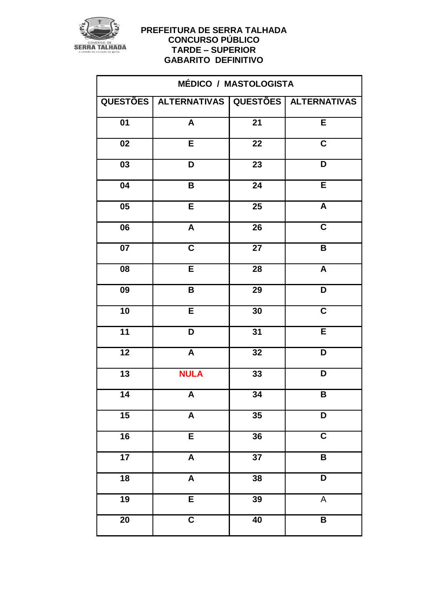

| <b>MÉDICO / MASTOLOGISTA</b>        |                                                   |                 |                         |
|-------------------------------------|---------------------------------------------------|-----------------|-------------------------|
|                                     | QUESTÕES   ALTERNATIVAS   QUESTÕES   ALTERNATIVAS |                 |                         |
| $\overline{01}$                     | $\pmb{\mathsf{A}}$                                | $\overline{21}$ | E                       |
| $\overline{02}$                     | $\overline{E}$                                    | $\overline{22}$ | $\overline{\mathsf{c}}$ |
| 03                                  | D                                                 | 23              | D                       |
| $\overline{04}$                     | B                                                 | $\overline{24}$ | $\overline{E}$          |
| $\overline{\overline{\textbf{05}}}$ | $\overline{\mathsf{E}}$                           | $\overline{25}$ | $\overline{\mathsf{A}}$ |
| $\overline{06}$                     | $\pmb{\mathsf{A}}$                                | $\overline{26}$ | $\overline{\mathsf{c}}$ |
| $\overline{07}$                     | $\overline{\mathsf{C}}$                           | $\overline{27}$ | $\overline{\mathsf{B}}$ |
| 08                                  | $\overline{E}$                                    | 28              | $\overline{A}$          |
| $\overline{09}$                     | B                                                 | $\overline{29}$ | $\overline{\mathsf{D}}$ |
| 10                                  | E                                                 | 30              | $\overline{\mathsf{C}}$ |
| 11                                  | D                                                 | 31              | E                       |
| $\overline{12}$                     | $\boldsymbol{\mathsf{A}}$                         | 32              | $\overline{\mathsf{D}}$ |
| 13                                  | <b>NULA</b>                                       | 33              | D                       |
| $\overline{14}$                     | A                                                 | $\overline{34}$ | $\mathsf B$             |
| 15                                  | $\pmb{\mathsf{A}}$                                | 35              | $\overline{\mathsf{D}}$ |
| $\overline{16}$                     | $\overline{E}$                                    | $\overline{36}$ | $\overline{c}$          |
| 17                                  | $\boldsymbol{\mathsf{A}}$                         | $\overline{37}$ | $\overline{\mathsf{B}}$ |
| 18                                  | $\pmb{\mathsf{A}}$                                | 38              | $\overline{\mathsf{D}}$ |
| $\overline{19}$                     | E                                                 | $\overline{39}$ | $\overline{\mathsf{A}}$ |
| $\overline{20}$                     | $\overline{\mathbf{C}}$                           | $\overline{40}$ | $\overline{\mathbf{B}}$ |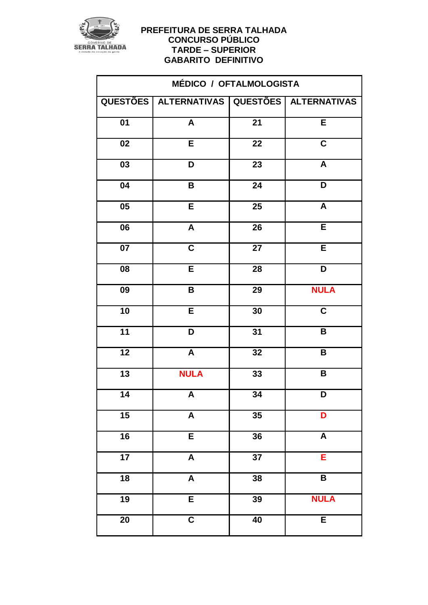

| MÉDICO / OFTALMOLOGISTA |                                                   |                 |                         |
|-------------------------|---------------------------------------------------|-----------------|-------------------------|
|                         | QUESTÕES   ALTERNATIVAS   QUESTÕES   ALTERNATIVAS |                 |                         |
| 01                      | $\boldsymbol{\mathsf{A}}$                         | $\overline{21}$ | $\overline{E}$          |
| $\overline{02}$         | E                                                 | $\overline{22}$ | $\overline{\mathsf{c}}$ |
| 03                      | D                                                 | 23              | $\overline{\mathbf{A}}$ |
| 04                      | B                                                 | $\overline{24}$ | D                       |
| 05                      | E                                                 | 25              | $\overline{A}$          |
| 06                      | A                                                 | 26              | E                       |
| $\overline{07}$         | $\overline{\mathsf{C}}$                           | $\overline{27}$ | E                       |
| 08                      | $\overline{\mathsf{E}}$                           | $\overline{28}$ | $\overline{\mathsf{D}}$ |
| 09                      | $\pmb{\mathsf{B}}$                                | $\overline{29}$ | <b>NULA</b>             |
| 10                      | E                                                 | 30              | $\overline{\mathsf{c}}$ |
| $\overline{11}$         | D                                                 | 31              | B                       |
| $\overline{12}$         | $\overline{A}$                                    | 32              | $\overline{\mathbf{B}}$ |
| 13                      | <b>NULA</b>                                       | 33              | B                       |
| $\overline{14}$         | A                                                 | $\overline{34}$ | D                       |
| 15                      | $\pmb{\mathsf{A}}$                                | 35              | D                       |
| 16                      | E                                                 | 36              | $\pmb{\mathsf{A}}$      |
| 17                      | $\pmb{\mathsf{A}}$                                | $\overline{37}$ | E                       |
| $\overline{18}$         | $\boldsymbol{\mathsf{A}}$                         | 38              | $\overline{\mathbf{B}}$ |
| $\overline{19}$         | $\overline{\mathsf{E}}$                           | $\overline{39}$ | <b>NULA</b>             |
| $\overline{20}$         | $\overline{\mathbf{C}}$                           | $\overline{40}$ | $\overline{\mathsf{E}}$ |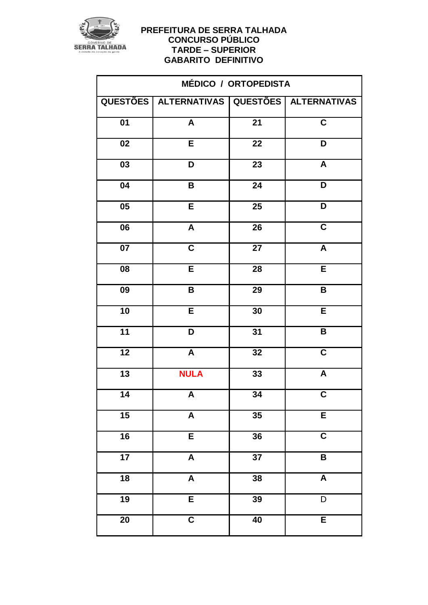

| MÉDICO / ORTOPEDISTA |                                                   |                 |                           |
|----------------------|---------------------------------------------------|-----------------|---------------------------|
|                      | QUESTÕES   ALTERNATIVAS   QUESTÕES   ALTERNATIVAS |                 |                           |
| $\overline{01}$      | $\boldsymbol{\mathsf{A}}$                         | $\overline{21}$ | $\overline{\mathsf{c}}$   |
| $\overline{02}$      | E                                                 | $\overline{22}$ | $\overline{\mathsf{D}}$   |
| 03                   | D                                                 | 23              | $\boldsymbol{\mathsf{A}}$ |
| $\overline{04}$      | B                                                 | $\overline{24}$ | D                         |
| $\overline{05}$      | $\overline{\mathsf{E}}$                           | $\overline{25}$ | $\overline{\mathsf{D}}$   |
| $\overline{06}$      | $\boldsymbol{\mathsf{A}}$                         | $\overline{26}$ | $\overline{\mathsf{c}}$   |
| $\overline{07}$      | $\overline{\mathsf{C}}$                           | $\overline{27}$ | $\overline{\mathsf{A}}$   |
| 08                   | E                                                 | 28              | E                         |
| $\overline{09}$      | $\overline{\mathbf{B}}$                           | $\overline{29}$ | $\overline{\mathsf{B}}$   |
| 10                   | E                                                 | 30              | $\overline{E}$            |
| 11                   | D                                                 | $\overline{31}$ | B                         |
| $\overline{12}$      | $\boldsymbol{\mathsf{A}}$                         | 32              | $\overline{\mathsf{c}}$   |
| 13                   | <b>NULA</b>                                       | 33              | $\pmb{\mathsf{A}}$        |
| $\overline{14}$      | $\boldsymbol{A}$                                  | $\overline{34}$ | $\overline{\mathsf{c}}$   |
| 15                   | A                                                 | 35              | $\overline{E}$            |
| 16                   | $\overline{E}$                                    | 36              | $\overline{c}$            |
| $\overline{17}$      | $\boldsymbol{\mathsf{A}}$                         | $\overline{37}$ | $\overline{\mathsf{B}}$   |
| $\overline{18}$      | $\boldsymbol{\mathsf{A}}$                         | 38              | $\overline{A}$            |
| $\overline{19}$      | E                                                 | 39              | $\overline{\mathsf{D}}$   |
| $\overline{20}$      | $\overline{\mathbf{C}}$                           | $\overline{40}$ | $\overline{\mathsf{E}}$   |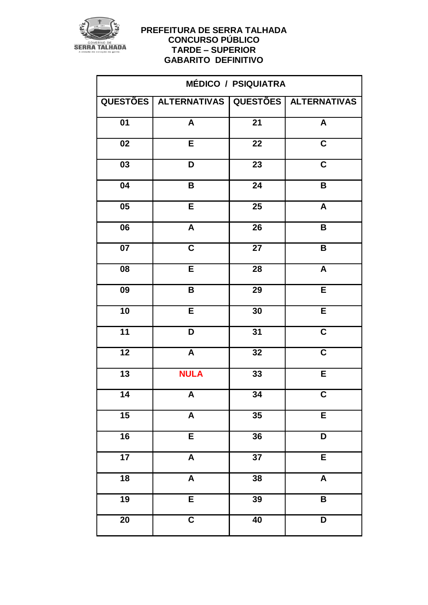

| <b>MÉDICO / PSIQUIATRA</b> |                                                   |                 |                         |
|----------------------------|---------------------------------------------------|-----------------|-------------------------|
|                            | QUESTÕES   ALTERNATIVAS   QUESTÕES   ALTERNATIVAS |                 |                         |
| $\overline{01}$            | $\overline{\mathsf{A}}$                           | $\overline{21}$ | $\overline{A}$          |
| $\overline{02}$            | $\overline{E}$                                    | $\overline{22}$ | $\overline{\mathsf{c}}$ |
| $\overline{03}$            | D                                                 | $\overline{23}$ | $\overline{\mathbf{C}}$ |
| $\overline{04}$            | B                                                 | $\overline{24}$ | $\overline{\mathbf{B}}$ |
| 05                         | $\overline{E}$                                    | 25              | $\mathsf{A}$            |
| $\overline{06}$            | $\pmb{\mathsf{A}}$                                | $\overline{26}$ | $\pmb{\mathsf{B}}$      |
| $\overline{07}$            | $\overline{\mathsf{C}}$                           | $\overline{27}$ | $\overline{\mathsf{B}}$ |
| 08                         | $\overline{E}$                                    | $\overline{28}$ | $\pmb{\mathsf{A}}$      |
| $\overline{09}$            | $\overline{\mathbf{B}}$                           | $\overline{29}$ | E                       |
| 10                         | $\overline{E}$                                    | 30              | $\overline{E}$          |
| $\overline{11}$            | D                                                 | 31              | $\overline{\mathbf{C}}$ |
| $\overline{12}$            | $\pmb{\mathsf{A}}$                                | 32              | $\overline{\mathsf{c}}$ |
| 13                         | <b>NULA</b>                                       | 33              | E                       |
| $\overline{14}$            | $\pmb{\mathsf{A}}$                                | $\overline{34}$ | $\overline{c}$          |
| 15                         | $\boldsymbol{\mathsf{A}}$                         | 35              | E                       |
| $\overline{16}$            | E                                                 | 36              | D                       |
| 17                         | $\boldsymbol{\mathsf{A}}$                         | 37              | $\overline{E}$          |
| $\overline{18}$            | $\pmb{\mathsf{A}}$                                | 38              | $\overline{\mathbf{A}}$ |
| $\overline{19}$            | E                                                 | 39              | $\overline{\mathbf{B}}$ |
| $\overline{20}$            | $\overline{\mathbf{C}}$                           | 40              | $\overline{\mathsf{D}}$ |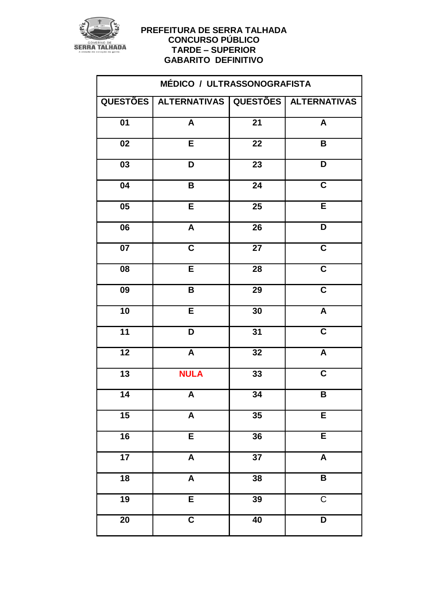

| MÉDICO / ULTRASSONOGRAFISTA         |                           |                 |                         |
|-------------------------------------|---------------------------|-----------------|-------------------------|
| <b>QUESTÕES</b>                     | <b>ALTERNATIVAS</b>       |                 | QUESTÕES ALTERNATIVAS   |
| $\overline{01}$                     | $\overline{\mathbf{A}}$   | $\overline{21}$ | $\overline{\mathsf{A}}$ |
| $\overline{02}$                     | $\overline{E}$            | $\overline{22}$ | $\overline{\mathbf{B}}$ |
| 03                                  | D                         | $\overline{23}$ | $\overline{\mathsf{D}}$ |
| 04                                  | B                         | $\overline{24}$ | $\overline{\mathbf{c}}$ |
| $\overline{\overline{\textbf{05}}}$ | $\overline{E}$            | 25              | $\overline{\mathsf{E}}$ |
| 06                                  | $\boldsymbol{\mathsf{A}}$ | $\overline{26}$ | D                       |
| $\overline{07}$                     | $\overline{\mathsf{C}}$   | $\overline{27}$ | $\overline{\mathsf{c}}$ |
| $\overline{08}$                     | $\overline{E}$            | 28              | $\overline{\mathsf{c}}$ |
| 09                                  | B                         | 29              | $\overline{\mathsf{c}}$ |
| 10                                  | E                         | 30              | $\overline{\mathsf{A}}$ |
| $\overline{11}$                     | D                         | 31              | $\overline{\mathbf{C}}$ |
| $\overline{12}$                     | $\pmb{\mathsf{A}}$        | $\overline{32}$ | $\overline{\mathsf{A}}$ |
| 13                                  | <b>NULA</b>               | $\overline{3}3$ | $\overline{\mathbf{C}}$ |
| $\overline{14}$                     | A                         | $\overline{34}$ | $\pmb{\mathsf{B}}$      |
| $\overline{15}$                     | $\pmb{\mathsf{A}}$        | 35              | $\overline{E}$          |
| $\overline{16}$                     | $\overline{E}$            | 36              | $\overline{E}$          |
| 17                                  | $\boldsymbol{\mathsf{A}}$ | $\overline{37}$ | $\overline{\mathbf{A}}$ |
| $\overline{18}$                     | $\overline{A}$            | 38              | $\overline{\mathsf{B}}$ |
| 19                                  | E                         | $\overline{39}$ | $\overline{\mathrm{C}}$ |
| $\overline{20}$                     | $\overline{\mathsf{c}}$   | $\overline{40}$ | $\overline{\mathsf{D}}$ |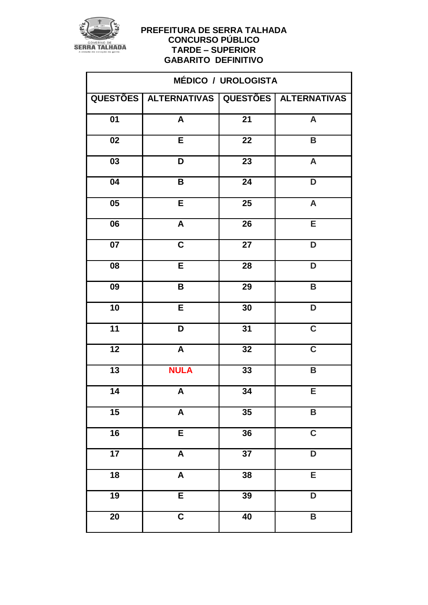

| <b>MÉDICO / UROLOGISTA</b> |                           |                 |                           |
|----------------------------|---------------------------|-----------------|---------------------------|
|                            | QUESTÕES   ALTERNATIVAS   |                 | QUESTÕES ALTERNATIVAS     |
| $\overline{01}$            | $\mathsf{A}$              | $\overline{21}$ | $\boldsymbol{\mathsf{A}}$ |
| 02                         | E                         | 22              | B                         |
| $\overline{03}$            | D                         | $\overline{23}$ | $\pmb{\mathsf{A}}$        |
| 04                         | $\overline{\mathsf{B}}$   | $\overline{24}$ | D                         |
| 05                         | E                         | 25              | $\boldsymbol{\mathsf{A}}$ |
| 06                         | $\boldsymbol{\mathsf{A}}$ | 26              | E                         |
| $\overline{07}$            | $\overline{\mathsf{c}}$   | $\overline{27}$ | D                         |
| 08                         | $\overline{E}$            | $\overline{28}$ | D                         |
| $\overline{09}$            | $\overline{\mathbf{B}}$   | $\overline{29}$ | $\overline{\mathsf{B}}$   |
| 10                         | $\overline{E}$            | 30              | D                         |
| $\overline{11}$            | D                         | $\overline{31}$ | $\overline{\mathbf{C}}$   |
| $\overline{12}$            | A                         | 32              | $\overline{\mathbf{C}}$   |
| $\overline{13}$            | <b>NULA</b>               | 33              | $\overline{\mathbf{B}}$   |
| 14                         | A                         | 34              | E                         |
| 15                         | $\pmb{\mathsf{A}}$        | 35              | $\overline{\mathbf{B}}$   |
| $\overline{16}$            | E                         | $\overline{36}$ | $\overline{\mathbf{C}}$   |
| $\overline{17}$            | $\overline{\mathsf{A}}$   | $\overline{37}$ | $\overline{\mathsf{D}}$   |
| 18                         | $\boldsymbol{\mathsf{A}}$ | 38              | E                         |
| 19                         | E                         | 39              | D                         |
| $\overline{20}$            | $\overline{\mathsf{C}}$   | $\overline{40}$ | $\overline{\mathsf{B}}$   |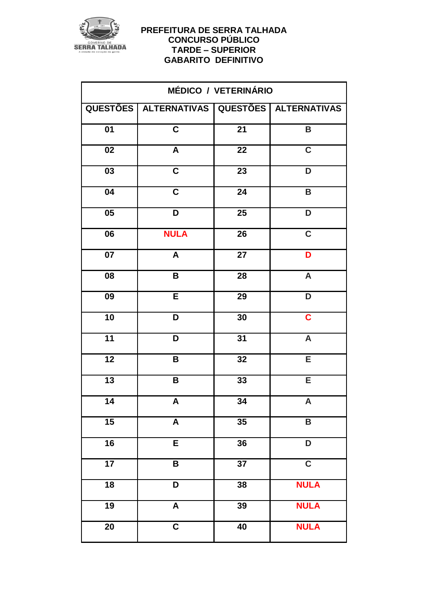

| <b>MÉDICO / VETERINÁRIO</b> |                                                   |                 |                           |
|-----------------------------|---------------------------------------------------|-----------------|---------------------------|
|                             | QUESTÕES   ALTERNATIVAS   QUESTÕES   ALTERNATIVAS |                 |                           |
| $\overline{01}$             | $\overline{\mathbf{C}}$                           | $\overline{21}$ | B                         |
| $\overline{02}$             | $\boldsymbol{A}$                                  | $\overline{22}$ | $\overline{\mathbf{C}}$   |
| 03                          | $\overline{c}$                                    | 23              | D                         |
| $\overline{04}$             | $\overline{\mathsf{c}}$                           | $\overline{24}$ | B                         |
| $\overline{05}$             | $\overline{\mathsf{D}}$                           | 25              | $\overline{\mathsf{D}}$   |
| 06                          | <b>NULA</b>                                       | $\overline{26}$ | $\overline{\mathbf{C}}$   |
| $\overline{07}$             | A                                                 | $\overline{27}$ | D                         |
| 08                          | $\pmb{\mathsf{B}}$                                | $\overline{28}$ | $\overline{\mathsf{A}}$   |
| $\overline{09}$             | E                                                 | $\overline{29}$ | $\overline{\mathsf{D}}$   |
| 10                          | D                                                 | 30              | $\overline{\mathbf{C}}$   |
| 11                          | D                                                 | $\overline{31}$ | $\overline{\mathsf{A}}$   |
| $\overline{12}$             | $\mathbf B$                                       | 32              | $\overline{\mathsf{E}}$   |
| $\overline{13}$             | B                                                 | 33              | E                         |
| $\overline{14}$             | A                                                 | 34              | $\boldsymbol{\mathsf{A}}$ |
| $\overline{15}$             | $\pmb{\mathsf{A}}$                                | 35              | B                         |
| 16                          | E                                                 | $\overline{36}$ | D                         |
| 17                          | B                                                 | 37              | $\overline{\mathsf{C}}$   |
| $\overline{18}$             | $\overline{\mathsf{D}}$                           | 38              | <b>NULA</b>               |
| $\overline{19}$             | $\pmb{\mathsf{A}}$                                | 39              | <b>NULA</b>               |
| $\overline{20}$             | $\overline{\mathsf{c}}$                           | $\overline{40}$ | <b>NULA</b>               |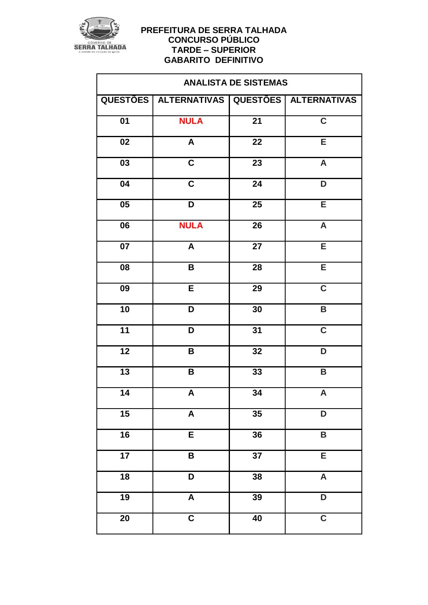

| <b>ANALISTA DE SISTEMAS</b> |                                                   |                 |                           |
|-----------------------------|---------------------------------------------------|-----------------|---------------------------|
|                             | QUESTÕES   ALTERNATIVAS   QUESTÕES   ALTERNATIVAS |                 |                           |
| $\overline{01}$             | <b>NULA</b>                                       | $\overline{21}$ | $\overline{\mathbf{C}}$   |
| 02                          | A                                                 | 22              | E                         |
| 03                          | $\overline{\mathbf{C}}$                           | 23              | $\boldsymbol{\mathsf{A}}$ |
| 04                          | $\mathbf C$                                       | 24              | D                         |
| 05                          | D                                                 | 25              | E                         |
| 06                          | <b>NULA</b>                                       | 26              | $\mathsf{A}$              |
| 07                          | A                                                 | 27              | $\overline{E}$            |
| 08                          | B                                                 | $\overline{28}$ | E                         |
| $\overline{09}$             | $\overline{E}$                                    | $\overline{29}$ | $\overline{\mathbf{C}}$   |
| 10                          | D                                                 | 30              | $\mathsf B$               |
| $\overline{11}$             | D                                                 | 31              | $\overline{c}$            |
| $\overline{12}$             | B                                                 | 32              | $\overline{\mathsf{D}}$   |
| $\overline{13}$             | B                                                 | 33              | B                         |
| 14                          | A                                                 | $\overline{34}$ | A                         |
| 15                          | $\boldsymbol{\mathsf{A}}$                         | $\overline{35}$ | D                         |
| 16                          | E                                                 | 36              | $\mathsf B$               |
| 17                          | B                                                 | $\overline{37}$ | E                         |
| $\overline{18}$             | $\overline{\mathsf{D}}$                           | $\overline{38}$ | $\overline{\mathsf{A}}$   |
| $\overline{19}$             | $\pmb{\mathsf{A}}$                                | 39              | $\overline{\mathsf{D}}$   |
| $\overline{20}$             | $\overline{\mathbf{c}}$                           | $\overline{40}$ | $\overline{\mathbf{C}}$   |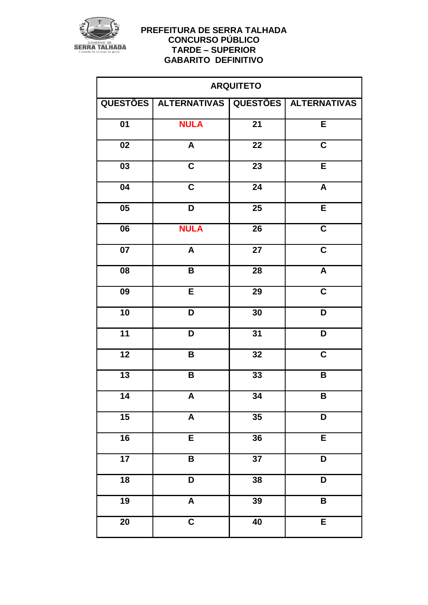

| <b>ARQUITETO</b> |                                                   |                 |                         |  |
|------------------|---------------------------------------------------|-----------------|-------------------------|--|
|                  | QUESTÕES   ALTERNATIVAS   QUESTÕES   ALTERNATIVAS |                 |                         |  |
| $\overline{01}$  | <b>NULA</b>                                       | $\overline{21}$ | E                       |  |
| 02               | $\boldsymbol{\mathsf{A}}$                         | 22              | $\overline{\mathsf{c}}$ |  |
| $\overline{03}$  | $\overline{\mathbf{C}}$                           | $\overline{23}$ | $\overline{E}$          |  |
| 04               | $\overline{\mathbf{C}}$                           | $\overline{24}$ | $\overline{\mathsf{A}}$ |  |
| 05               | D                                                 | 25              | $\overline{E}$          |  |
| 06               | <b>NULA</b>                                       | $\overline{26}$ | $\overline{\mathbf{C}}$ |  |
| $\overline{07}$  | A                                                 | $\overline{27}$ | $\overline{\mathsf{c}}$ |  |
| $\overline{08}$  | B                                                 | $\overline{28}$ | $\overline{\mathsf{A}}$ |  |
| $\overline{09}$  | E                                                 | $\overline{29}$ | $\overline{\mathsf{c}}$ |  |
| 10               | $\overline{\mathsf{D}}$                           | $\overline{30}$ | D                       |  |
| $\overline{11}$  | D                                                 | 31              | D                       |  |
| 12               | B                                                 | 32              | $\overline{\mathbf{C}}$ |  |
| $\overline{13}$  | B                                                 | 33              | B                       |  |
| $\overline{14}$  | A                                                 | $\overline{34}$ | $\mathsf B$             |  |
| $\overline{15}$  | $\pmb{\mathsf{A}}$                                | 35              | D                       |  |
| $\overline{16}$  | E                                                 | $\overline{36}$ | $\overline{E}$          |  |
| 17               | B                                                 | $\overline{37}$ | $\overline{D}$          |  |
| $\overline{18}$  | D                                                 | 38              | D                       |  |
| $\overline{19}$  | $\boldsymbol{\mathsf{A}}$                         | 39              | $\pmb{\mathsf{B}}$      |  |
| $\overline{20}$  | $\overline{\mathbf{C}}$                           | 40              | E                       |  |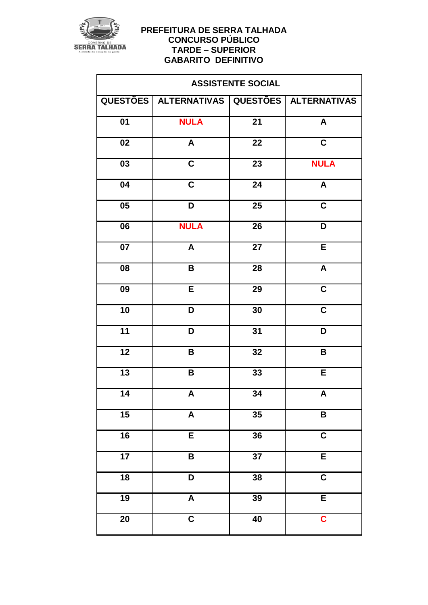

| <b>ASSISTENTE SOCIAL</b> |                                                   |                 |                           |
|--------------------------|---------------------------------------------------|-----------------|---------------------------|
|                          | QUESTÕES   ALTERNATIVAS   QUESTÕES   ALTERNATIVAS |                 |                           |
| $\overline{01}$          | <b>NULA</b>                                       | $\overline{21}$ | $\boldsymbol{\mathsf{A}}$ |
| $\overline{02}$          | $\pmb{\mathsf{A}}$                                | $\overline{22}$ | $\overline{\mathsf{c}}$   |
| 03                       | $\overline{c}$                                    | 23              | <b>NULA</b>               |
| 04                       | $\mathbf C$                                       | 24              | A                         |
| $\overline{05}$          | $\overline{\mathsf{D}}$                           | $\overline{25}$ | $\overline{\mathbf{C}}$   |
| $\overline{06}$          | <b>NULA</b>                                       | $\overline{26}$ | D                         |
| $\overline{07}$          | A                                                 | $\overline{27}$ | E                         |
| 08                       | B                                                 | 28              | $\pmb{\mathsf{A}}$        |
| $\overline{09}$          | $\overline{E}$                                    | $\overline{29}$ | $\overline{\mathsf{c}}$   |
| 10                       | D                                                 | 30              | $\overline{\mathsf{c}}$   |
| $\overline{11}$          | D                                                 | 31              | D                         |
| $\overline{12}$          | $\, {\bf B}$                                      | 32              | $\pmb{\mathsf{B}}$        |
| $\overline{13}$          | B                                                 | $\overline{33}$ | E                         |
| $\overline{14}$          | A                                                 | $\overline{34}$ | $\boldsymbol{A}$          |
| 15                       | $\pmb{\mathsf{A}}$                                | $\overline{35}$ | $\pmb{\mathsf{B}}$        |
| 16                       | $\overline{E}$                                    | 36              | $\overline{c}$            |
| 17                       | B                                                 | $\overline{37}$ | $\overline{E}$            |
| $\overline{18}$          | D                                                 | 38              | $\overline{\mathbf{C}}$   |
| $\overline{19}$          | $\overline{\mathbf{A}}$                           | $\overline{39}$ | E                         |
| $\overline{20}$          | $\overline{\mathbf{C}}$                           | $\overline{40}$ | $\overline{\mathbf{C}}$   |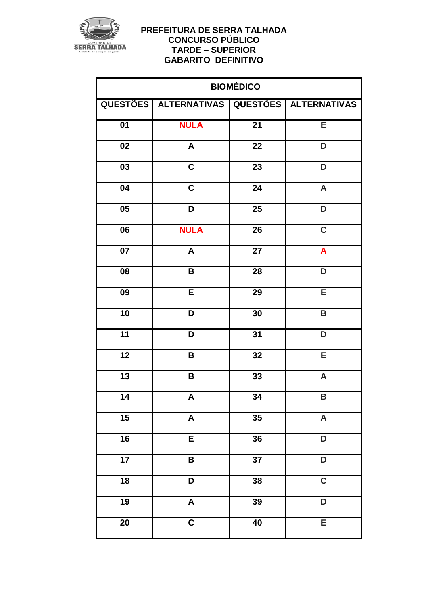

| <b>BIOMÉDICO</b> |                                                   |                 |                           |  |
|------------------|---------------------------------------------------|-----------------|---------------------------|--|
|                  | QUESTÕES   ALTERNATIVAS   QUESTÕES   ALTERNATIVAS |                 |                           |  |
| $\overline{01}$  | <b>NULA</b>                                       | $\overline{21}$ | E                         |  |
| $\overline{02}$  | $\pmb{\mathsf{A}}$                                | $\overline{22}$ | $\overline{\mathsf{D}}$   |  |
| 03               | $\overline{c}$                                    | 23              | D                         |  |
| 04               | $\mathbf C$                                       | 24              | $\boldsymbol{\mathsf{A}}$ |  |
| $\overline{05}$  | $\overline{\mathsf{D}}$                           | $\overline{25}$ | $\overline{\mathsf{D}}$   |  |
| 06               | <b>NULA</b>                                       | $\overline{26}$ | $\overline{\mathbf{C}}$   |  |
| $\overline{07}$  | A                                                 | $\overline{27}$ | $\overline{\mathsf{A}}$   |  |
| 08               | B                                                 | 28              | D                         |  |
| $\overline{09}$  | $\overline{E}$                                    | $\overline{29}$ | $\overline{E}$            |  |
| 10               | D                                                 | 30              | $\mathsf B$               |  |
| $\overline{11}$  | D                                                 | $\overline{31}$ | D                         |  |
| $\overline{12}$  | B                                                 | 32              | E                         |  |
| $\overline{13}$  | B                                                 | 33              | $\boldsymbol{\mathsf{A}}$ |  |
| $\overline{14}$  | A                                                 | $\overline{34}$ | B                         |  |
| 15               | $\pmb{\mathsf{A}}$                                | 35              | $\boldsymbol{\mathsf{A}}$ |  |
| 16               | E                                                 | $\overline{36}$ | D                         |  |
| $\overline{17}$  | $\overline{\mathbf{B}}$                           | $\overline{37}$ | $\overline{\mathsf{D}}$   |  |
| $\overline{18}$  | D                                                 | 38              | $\overline{\mathbf{C}}$   |  |
| 19               | $\overline{\mathsf{A}}$                           | $\overline{39}$ | $\overline{\mathsf{D}}$   |  |
| $\overline{20}$  | $\overline{\mathbf{C}}$                           | $\overline{40}$ | E                         |  |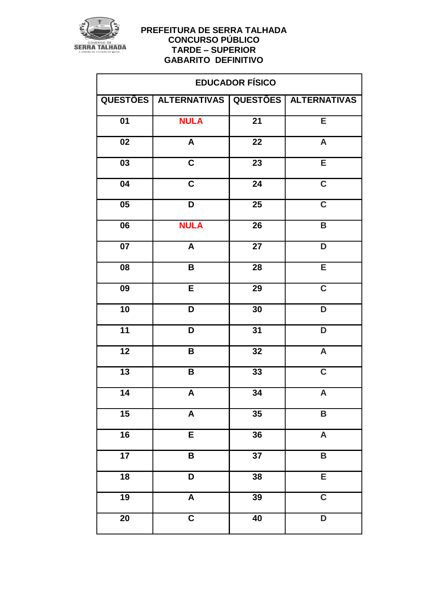

| <b>EDUCADOR FÍSICO</b> |                           |                 |                           |
|------------------------|---------------------------|-----------------|---------------------------|
|                        | QUESTÕES   ALTERNATIVAS   | <b>QUESTÕES</b> | ALTERNATIVAS              |
| $\overline{01}$        | <b>NULA</b>               | $\overline{21}$ | E                         |
| 02                     | $\boldsymbol{\mathsf{A}}$ | 22              | $\boldsymbol{\mathsf{A}}$ |
| $\overline{03}$        | $\overline{\mathbf{C}}$   | $\overline{23}$ | $\overline{E}$            |
| 04                     | $\overline{\mathbf{C}}$   | $\overline{24}$ | $\overline{\mathbf{C}}$   |
| 05                     | D                         | 25              | $\overline{\mathbf{C}}$   |
| 06                     | <b>NULA</b>               | $\overline{26}$ | $\overline{\mathbf{B}}$   |
| 07                     | $\boldsymbol{\mathsf{A}}$ | 27              | D                         |
| 08                     | B                         | $\overline{28}$ | E                         |
| 09                     | $\overline{E}$            | $\overline{29}$ | $\overline{\mathbf{C}}$   |
| 10                     | D                         | 30              | D                         |
| $\overline{11}$        | D                         | $\overline{31}$ | D                         |
| $\overline{12}$        | B                         | 32              | $\boldsymbol{\mathsf{A}}$ |
| $\overline{13}$        | $\overline{\mathbf{B}}$   | $\overline{33}$ | $\overline{\mathbf{C}}$   |
| 14                     | A                         | 34              | A                         |
| $\overline{15}$        | $\pmb{\mathsf{A}}$        | 35              | B                         |
| $\overline{16}$        | E                         | $\overline{36}$ | $\overline{\mathsf{A}}$   |
| $\overline{17}$        | B                         | $\overline{37}$ | $\overline{\mathbf{B}}$   |
| $\overline{18}$        | $\overline{\mathsf{D}}$   | 38              | E                         |
| 19                     | $\boldsymbol{\mathsf{A}}$ | 39              | $\overline{c}$            |
| $\overline{20}$        | $\overline{\mathbf{C}}$   | $\overline{40}$ | $\overline{\mathsf{D}}$   |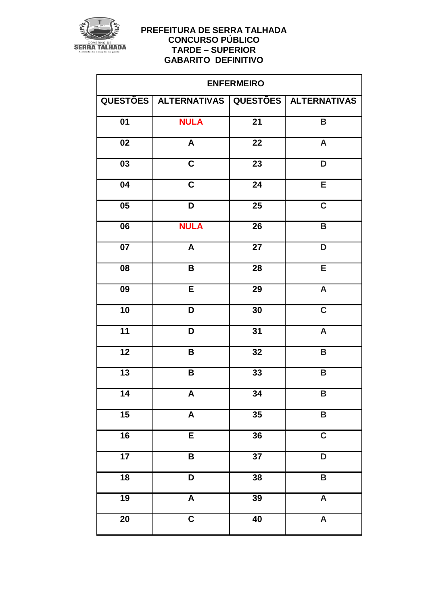

| <b>ENFERMEIRO</b> |                           |                 |                           |  |
|-------------------|---------------------------|-----------------|---------------------------|--|
|                   | QUESTÕES   ALTERNATIVAS   |                 | QUESTÕES   ALTERNATIVAS   |  |
| $\overline{01}$   | <b>NULA</b>               | $\overline{21}$ | $\overline{\mathbf{B}}$   |  |
| 02                | $\boldsymbol{\mathsf{A}}$ | 22              | $\boldsymbol{\mathsf{A}}$ |  |
| $\overline{03}$   | $\overline{\mathbf{C}}$   | $\overline{23}$ | D                         |  |
| 04                | $\overline{\mathbf{C}}$   | 24              | E                         |  |
| $\overline{05}$   | $\overline{\mathsf{D}}$   | $\overline{25}$ | $\overline{\mathbf{C}}$   |  |
| 06                | <b>NULA</b>               | $\overline{26}$ | $\mathsf B$               |  |
| $\overline{07}$   | A                         | $\overline{27}$ | $\overline{\mathsf{D}}$   |  |
| 08                | B                         | $\overline{28}$ | E                         |  |
| 09                | $\overline{E}$            | $\overline{29}$ | $\overline{\mathsf{A}}$   |  |
| $\overline{10}$   | D                         | $\overline{30}$ | $\overline{\mathbf{C}}$   |  |
| $\overline{11}$   | D                         | $\overline{31}$ | $\overline{\mathsf{A}}$   |  |
| $\overline{12}$   | B                         | 32              | B                         |  |
| $\overline{13}$   | $\overline{\mathbf{B}}$   | $\overline{33}$ | $\overline{\mathbf{B}}$   |  |
| 14                | A                         | 34              | B                         |  |
| $\overline{15}$   | $\pmb{\mathsf{A}}$        | $\overline{35}$ | $\overline{\mathbf{B}}$   |  |
| 16                | $\overline{E}$            | 36              | $\overline{\mathbf{C}}$   |  |
| 17                | B                         | $\overline{37}$ | $\overline{\mathsf{D}}$   |  |
| 18                | D                         | 38              | $\mathsf B$               |  |
| 19                | $\boldsymbol{\mathsf{A}}$ | $\overline{39}$ | $\overline{\mathsf{A}}$   |  |
| $\overline{20}$   | $\overline{\mathbf{C}}$   | $\overline{40}$ | $\overline{\mathsf{A}}$   |  |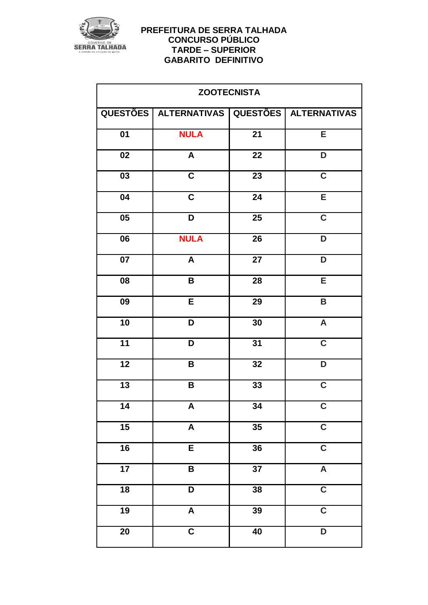

| <b>ZOOTECNISTA</b>                  |                           |                 |                         |
|-------------------------------------|---------------------------|-----------------|-------------------------|
|                                     | QUESTÕES   ALTERNATIVAS   |                 | QUESTÕES ALTERNATIVAS   |
| $\overline{01}$                     | <b>NULA</b>               | $\overline{21}$ | E                       |
| $\overline{02}$                     | A                         | $\overline{22}$ | D                       |
| 03                                  | $\overline{\mathbf{C}}$   | 23              | $\mathbf C$             |
| $\overline{04}$                     | $\overline{\mathsf{c}}$   | $\overline{24}$ | E                       |
| $\overline{\overline{\textbf{05}}}$ | D                         | $\overline{25}$ | $\overline{\mathbf{C}}$ |
| $\overline{06}$                     | <b>NULA</b>               | $\overline{26}$ | $\overline{\mathsf{D}}$ |
| $\overline{07}$                     | $\overline{\mathsf{A}}$   | $\overline{27}$ | $\overline{\mathsf{D}}$ |
| $\overline{08}$                     | $\pmb{\mathsf{B}}$        | $\overline{28}$ | E                       |
| 09                                  | $\overline{E}$            | 29              | $\mathsf B$             |
| $\overline{10}$                     | D                         | 30              | $\overline{\mathsf{A}}$ |
| $\overline{11}$                     | D                         | $\overline{31}$ | $\overline{\mathbf{C}}$ |
| $\overline{12}$                     | B                         | $\overline{32}$ | $\overline{\mathsf{D}}$ |
| 13                                  | B                         | 33              | $\overline{\mathbf{C}}$ |
| 14                                  | A                         | 34              | $\mathbf C$             |
| 15                                  | $\boldsymbol{\mathsf{A}}$ | $\overline{35}$ | $\overline{c}$          |
| $\overline{16}$                     | $\overline{E}$            | 36              | $\overline{\mathsf{C}}$ |
| $\overline{17}$                     | $\overline{\mathsf{B}}$   | $\overline{37}$ | $\overline{\mathsf{A}}$ |
| $\overline{18}$                     | $\overline{\mathsf{D}}$   | $\overline{38}$ | $\overline{\mathbf{C}}$ |
| 19                                  | $\overline{\mathsf{A}}$   | $\overline{39}$ | $\overline{\mathsf{C}}$ |
| $\overline{20}$                     | $\overline{\mathsf{c}}$   | $\overline{40}$ | $\overline{\mathsf{D}}$ |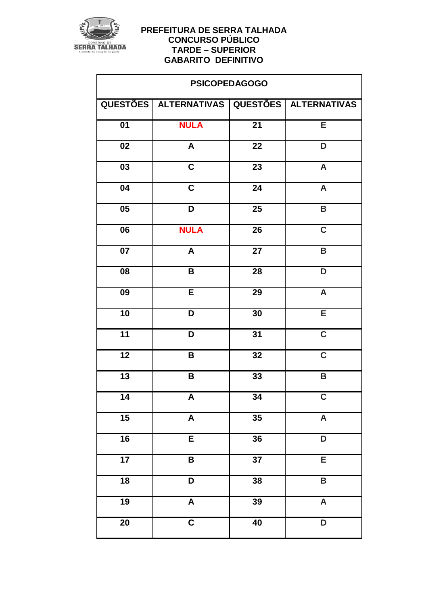

| <b>PSICOPEDAGOGO</b>                |                           |                 |                           |
|-------------------------------------|---------------------------|-----------------|---------------------------|
|                                     | QUESTÕES   ALTERNATIVAS   | <b>QUESTÕES</b> | <b>ALTERNATIVAS</b>       |
| $\overline{01}$                     | <b>NULA</b>               | $\overline{21}$ | E                         |
| 02                                  | $\boldsymbol{A}$          | $\overline{22}$ | D                         |
| 03                                  | $\mathbf C$               | $\overline{23}$ | $\boldsymbol{\mathsf{A}}$ |
| $\overline{04}$                     | $\overline{\mathbf{C}}$   | $\overline{24}$ | $\overline{\mathsf{A}}$   |
| $\overline{\overline{\textbf{05}}}$ | D                         | $\overline{25}$ | $\overline{\mathsf{B}}$   |
| $\overline{06}$                     | <b>NULA</b>               | $\overline{26}$ | $\overline{\mathbf{C}}$   |
| 07                                  | $\boldsymbol{\mathsf{A}}$ | $\overline{27}$ | $\mathsf B$               |
| $\overline{08}$                     | $\pmb{\mathsf{B}}$        | $\overline{28}$ | $\overline{\mathsf{D}}$   |
| 09                                  | $\overline{E}$            | 29              | $\boldsymbol{\mathsf{A}}$ |
| 10                                  | D                         | 30              | $\overline{E}$            |
| $\overline{11}$                     | D                         | $\overline{31}$ | $\overline{\mathsf{C}}$   |
| $\overline{12}$                     | B                         | 32              | $\overline{\mathbf{C}}$   |
| $\overline{13}$                     | B                         | 33              | $\overline{\mathsf{B}}$   |
| 14                                  | A                         | 34              | $\mathbf C$               |
| $\overline{15}$                     | $\overline{A}$            | $\overline{35}$ | $\overline{\mathsf{A}}$   |
| 16                                  | $\overline{E}$            | $\overline{36}$ | $\overline{\mathsf{D}}$   |
| 17                                  | $\overline{\mathbf{B}}$   | $\overline{37}$ | E                         |
| $\overline{18}$                     | D                         | $\overline{38}$ | $\overline{\mathsf{B}}$   |
| 19                                  | $\overline{\mathsf{A}}$   | 39              | $\overline{\mathsf{A}}$   |
| $\overline{20}$                     | $\overline{\mathsf{C}}$   | 40              | $\overline{\mathsf{D}}$   |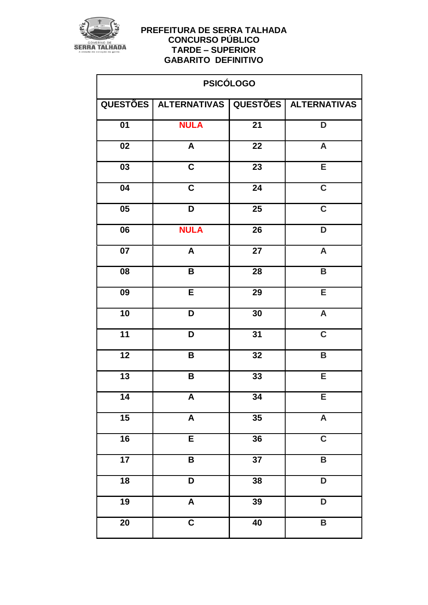

| <b>PSICÓLOGO</b> |                                                   |                 |                           |
|------------------|---------------------------------------------------|-----------------|---------------------------|
|                  | QUESTÕES   ALTERNATIVAS   QUESTÕES   ALTERNATIVAS |                 |                           |
| 01               | <b>NULA</b>                                       | $\overline{21}$ | D                         |
| $\overline{02}$  | $\overline{A}$                                    | $\overline{22}$ | $\overline{\mathsf{A}}$   |
| $\overline{03}$  | $\overline{\mathbf{C}}$                           | $\overline{23}$ | E                         |
| 04               | $\overline{c}$                                    | $\overline{24}$ | $\overline{\mathbf{C}}$   |
| $\overline{05}$  | D                                                 | $\overline{25}$ | $\overline{\mathbf{C}}$   |
| $\overline{06}$  | <b>NULA</b>                                       | $\overline{26}$ | $\overline{\mathsf{D}}$   |
| 07               | $\boldsymbol{\mathsf{A}}$                         | $\overline{27}$ | $\boldsymbol{\mathsf{A}}$ |
| $\overline{08}$  | B                                                 | $\overline{28}$ | $\overline{\mathsf{B}}$   |
| 09               | E                                                 | $\overline{29}$ | E                         |
| $\overline{10}$  | D                                                 | $\overline{30}$ | $\overline{\mathsf{A}}$   |
| $\overline{11}$  | D                                                 | $\overline{31}$ | $\overline{\mathsf{C}}$   |
| $\overline{12}$  | B                                                 | 32              | $\mathsf B$               |
| $\overline{13}$  | B                                                 | $\overline{33}$ | E                         |
| $\overline{14}$  | A                                                 | 34              | E                         |
| $\overline{15}$  | $\overline{\mathsf{A}}$                           | $\overline{35}$ | $\overline{\mathsf{A}}$   |
| $\overline{16}$  | $\overline{E}$                                    | $\overline{36}$ | $\overline{\mathbf{C}}$   |
| 17               | $\overline{\mathsf{B}}$                           | $\overline{37}$ | $\overline{\mathsf{B}}$   |
| $\overline{18}$  | D                                                 | $\overline{38}$ | $\overline{\mathsf{D}}$   |
| 19               | $\overline{\mathsf{A}}$                           | 39              | $\overline{\mathsf{D}}$   |
| $\overline{20}$  | $\overline{\mathsf{c}}$                           | $\overline{40}$ | $\overline{\mathsf{B}}$   |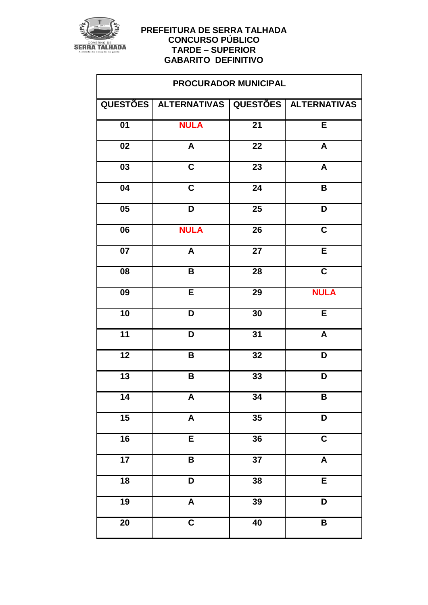

| PROCURADOR MUNICIPAL |                           |                 |                           |
|----------------------|---------------------------|-----------------|---------------------------|
|                      | QUESTÕES   ALTERNATIVAS   |                 | QUESTÕES   ALTERNATIVAS   |
| 01                   | <b>NULA</b>               | 21              | E                         |
| $\overline{02}$      | A                         | $\overline{22}$ | $\boldsymbol{A}$          |
| 03                   | $\overline{\mathbf{C}}$   | $\overline{23}$ | $\pmb{\mathsf{A}}$        |
| $\overline{04}$      | $\overline{\mathsf{c}}$   | 24              | $\mathbf B$               |
| $\overline{05}$      | D                         | $\overline{25}$ | D                         |
| $\overline{06}$      | <b>NULA</b>               | $\overline{26}$ | $\overline{\mathsf{c}}$   |
| $\overline{07}$      | $\boldsymbol{\mathsf{A}}$ | $\overline{27}$ | $\overline{E}$            |
| 08                   | $\, {\bf B}$              | $\overline{28}$ | $\overline{c}$            |
| 09                   | E                         | 29              | <b>NULA</b>               |
| 10                   | D                         | 30              | $\overline{E}$            |
| 11                   | D                         | $\overline{31}$ | $\boldsymbol{\mathsf{A}}$ |
| $\overline{12}$      | B                         | 32              | D                         |
| $\overline{13}$      | B                         | 33              | D                         |
| 14                   | A                         | 34              | B                         |
| $\overline{15}$      | $\overline{A}$            | $\overline{35}$ | $\overline{\mathsf{D}}$   |
| 16                   | E                         | 36              | $\mathbf C$               |
| $\overline{17}$      | $\overline{\mathsf{B}}$   | $\overline{37}$ | $\overline{\mathsf{A}}$   |
| $\overline{18}$      | $\overline{\mathsf{D}}$   | $\overline{38}$ | $\overline{E}$            |
| 19                   | $\overline{\mathsf{A}}$   | 39              | $\overline{\mathsf{D}}$   |
| $\overline{20}$      | $\overline{\mathsf{c}}$   | 40              | $\overline{\mathsf{B}}$   |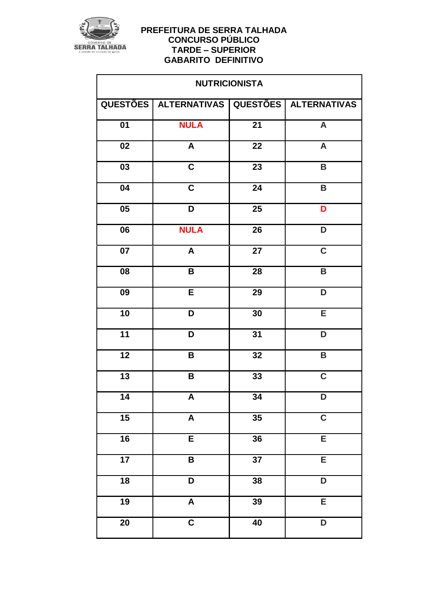

| <b>NUTRICIONISTA</b> |                           |                 |                           |
|----------------------|---------------------------|-----------------|---------------------------|
|                      | QUESTÕES   ALTERNATIVAS   | QUESTÕES        | <b>ALTERNATIVAS</b>       |
| $\overline{01}$      | <b>NULA</b>               | $\overline{21}$ | $\boldsymbol{\mathsf{A}}$ |
| $\overline{02}$      | A                         | $\overline{22}$ | $\boldsymbol{\mathsf{A}}$ |
| 03                   | $\mathbf C$               | $\overline{23}$ | $\mathsf B$               |
| 04                   | $\overline{\mathbf{C}}$   | 24              | B                         |
| $\overline{05}$      | D                         | $\overline{25}$ | D                         |
| $\overline{06}$      | <b>NULA</b>               | $\overline{26}$ | $\overline{\mathsf{D}}$   |
| $\overline{07}$      | $\boldsymbol{\mathsf{A}}$ | $\overline{27}$ | $\overline{\mathbf{C}}$   |
| $\overline{08}$      | $\overline{\mathbf{B}}$   | $\overline{28}$ | $\overline{\mathsf{B}}$   |
| 09                   | E                         | 29              | D                         |
| 10                   | D                         | 30              | $\overline{E}$            |
| 11                   | D                         | $\overline{31}$ | $\overline{\mathsf{D}}$   |
| $\overline{12}$      | $\mathbf B$               | $\overline{32}$ | $\mathsf B$               |
| $\overline{13}$      | B                         | 33              | $\overline{\mathbf{C}}$   |
| 14                   | A                         | 34              | D                         |
| $\overline{15}$      | $\overline{\mathsf{A}}$   | $\overline{35}$ | $\overline{\mathbf{C}}$   |
| 16                   | $\overline{E}$            | 36              | E                         |
| 17                   | $\overline{\mathbf{B}}$   | $\overline{37}$ | E                         |
| $\overline{18}$      | $\overline{\mathsf{D}}$   | 38              | $\overline{\mathsf{D}}$   |
| 19                   | $\overline{\mathsf{A}}$   | 39              | E                         |
| $\overline{20}$      | $\overline{\mathsf{C}}$   | $\overline{40}$ | $\overline{\mathsf{D}}$   |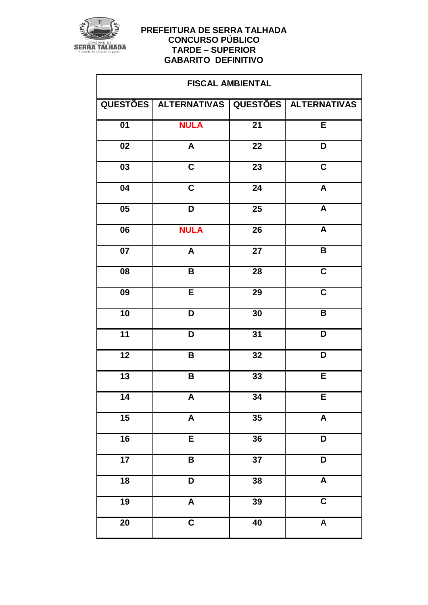

| <b>FISCAL AMBIENTAL</b> |                           |                 |                         |
|-------------------------|---------------------------|-----------------|-------------------------|
|                         | QUESTÕES   ALTERNATIVAS   |                 | QUESTÕES   ALTERNATIVAS |
| 01                      | <b>NULA</b>               | $\overline{21}$ | E                       |
| $\overline{02}$         | A                         | $\overline{22}$ | D                       |
| 03                      | $\mathbf C$               | 23              | $\mathbf C$             |
| $\overline{04}$         | $\overline{\mathsf{c}}$   | $\overline{24}$ | $\overline{\mathsf{A}}$ |
| $\overline{05}$         | D                         | $\overline{25}$ | $\overline{A}$          |
| $\overline{06}$         | <b>NULA</b>               | $\overline{26}$ | $\overline{A}$          |
| $\overline{07}$         | $\boldsymbol{\mathsf{A}}$ | $\overline{27}$ | $\overline{\mathsf{B}}$ |
| $\overline{08}$         | $\overline{\mathbf{B}}$   | $\overline{28}$ | $\overline{\mathbf{C}}$ |
| 09                      | $\overline{E}$            | 29              | $\overline{\mathbf{C}}$ |
| 10                      | D                         | 30              | $\overline{\mathbf{B}}$ |
| $\overline{11}$         | D                         | $\overline{31}$ | D                       |
| $\overline{12}$         | B                         | 32              | D                       |
| $\overline{13}$         | B                         | 33              | E                       |
| 14                      | A                         | 34              | E                       |
| $\overline{15}$         | $\boldsymbol{\mathsf{A}}$ | 35              | $\overline{\mathbf{A}}$ |
| 16                      | $\overline{E}$            | 36              | D                       |
| 17                      | $\overline{\mathsf{B}}$   | $\overline{37}$ | $\overline{\mathsf{D}}$ |
| $\overline{18}$         | $\overline{\mathsf{D}}$   | $\overline{38}$ | $\overline{\mathsf{A}}$ |
| 19                      | $\overline{\mathsf{A}}$   | 39              | $\overline{\mathsf{c}}$ |
| $\overline{20}$         | $\overline{\mathsf{c}}$   | 40              | $\overline{\mathsf{A}}$ |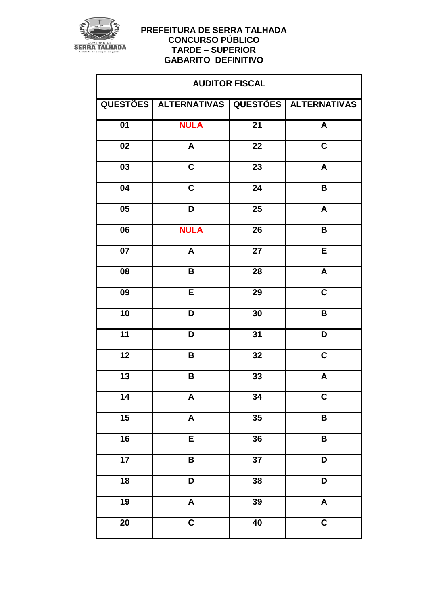

| <b>AUDITOR FISCAL</b> |                         |                 |                           |
|-----------------------|-------------------------|-----------------|---------------------------|
|                       | QUESTÕES   ALTERNATIVAS | <b>QUESTÕES</b> | <b>ALTERNATIVAS</b>       |
| $\overline{01}$       | <b>NULA</b>             | $\overline{21}$ | $\pmb{\mathsf{A}}$        |
| 02                    | A                       | $\overline{22}$ | $\overline{c}$            |
| 03                    | $\mathbf C$             | $\overline{23}$ | $\boldsymbol{\mathsf{A}}$ |
| $\overline{04}$       | $\overline{\mathsf{C}}$ | $\overline{24}$ | $\, {\bf B}$              |
| $\overline{05}$       | $\overline{\mathsf{D}}$ | $\overline{25}$ | $\overline{A}$            |
| $\overline{06}$       | <b>NULA</b>             | $\overline{26}$ | $\overline{\mathbf{B}}$   |
| 07                    | A                       | $\overline{27}$ | E                         |
| $\overline{08}$       | $\pmb{\mathsf{B}}$      | $\overline{28}$ | $\overline{\mathsf{A}}$   |
| 09                    | $\overline{E}$          | 29              | $\overline{\mathbf{C}}$   |
| 10                    | D                       | 30              | $\pmb{\mathsf{B}}$        |
| $\overline{11}$       | D                       | $\overline{31}$ | $\overline{\mathsf{D}}$   |
| $\overline{12}$       | B                       | 32              | $\overline{\mathbf{C}}$   |
| $\overline{13}$       | B                       | 33              | $\overline{\mathsf{A}}$   |
| 14                    | A                       | 34              | $\mathbf C$               |
| $\overline{15}$       | $\overline{\mathbf{A}}$ | $\overline{35}$ | $\pmb{\mathsf{B}}$        |
| 16                    | $\overline{E}$          | 36              | $\mathsf B$               |
| 17                    | $\overline{\mathbf{B}}$ | $\overline{37}$ | $\overline{\mathsf{D}}$   |
| $\overline{18}$       | D                       | $\overline{38}$ | $\overline{\mathsf{D}}$   |
| 19                    | $\overline{\mathsf{A}}$ | $\overline{39}$ | $\overline{\mathsf{A}}$   |
| $\overline{20}$       | $\overline{\mathsf{C}}$ | $\overline{40}$ | $\overline{\mathsf{C}}$   |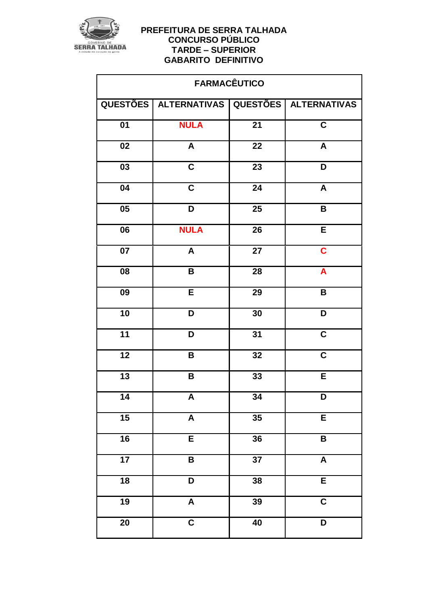

| <b>FARMACÊUTICO</b> |                                                   |                 |                           |
|---------------------|---------------------------------------------------|-----------------|---------------------------|
|                     | QUESTÕES   ALTERNATIVAS   QUESTÕES   ALTERNATIVAS |                 |                           |
| 01                  | <b>NULA</b>                                       | 21              | $\mathbf C$               |
| $\overline{02}$     | $\overline{\mathbf{A}}$                           | $\overline{22}$ | $\overline{\mathsf{A}}$   |
| $\overline{03}$     | $\overline{\mathbf{C}}$                           | $\overline{23}$ | $\overline{\mathsf{D}}$   |
| 04                  | $\overline{\mathbf{C}}$                           | 24              | $\boldsymbol{\mathsf{A}}$ |
| $\overline{05}$     | D                                                 | $\overline{25}$ | $\overline{\mathsf{B}}$   |
| $\overline{06}$     | <b>NULA</b>                                       | $\overline{26}$ | $\overline{\mathsf{E}}$   |
| $\overline{07}$     | $\overline{\mathbf{A}}$                           | $\overline{27}$ | $\overline{\mathbf{C}}$   |
| $\overline{08}$     | $\pmb{\mathsf{B}}$                                | $\overline{28}$ | $\overline{\mathsf{A}}$   |
| 09                  | $\overline{E}$                                    | 29              | $\pmb{\mathsf{B}}$        |
| 10                  | D                                                 | 30              | $\overline{\mathsf{D}}$   |
| $\overline{11}$     | D                                                 | 31              | $\overline{\mathbf{C}}$   |
| $\overline{12}$     | B                                                 | 32              | $\overline{\mathbf{C}}$   |
| $\overline{13}$     | $\pmb{\mathsf{B}}$                                | 33              | $\overline{\mathsf{E}}$   |
| 14                  | A                                                 | 34              | D                         |
| 15                  | $\overline{\mathsf{A}}$                           | $\overline{35}$ | $\overline{\mathsf{E}}$   |
| $\overline{16}$     | E                                                 | $\overline{36}$ | $\overline{\mathbf{B}}$   |
| $\overline{17}$     | $\overline{\mathbf{B}}$                           | $\overline{37}$ | $\overline{\mathsf{A}}$   |
| $\overline{18}$     | D                                                 | 38              | E                         |
| 19                  | $\overline{\mathsf{A}}$                           | 39              | $\overline{\mathbf{c}}$   |
| $\overline{20}$     | $\overline{\mathbf{C}}$                           | 40              | $\overline{\mathsf{D}}$   |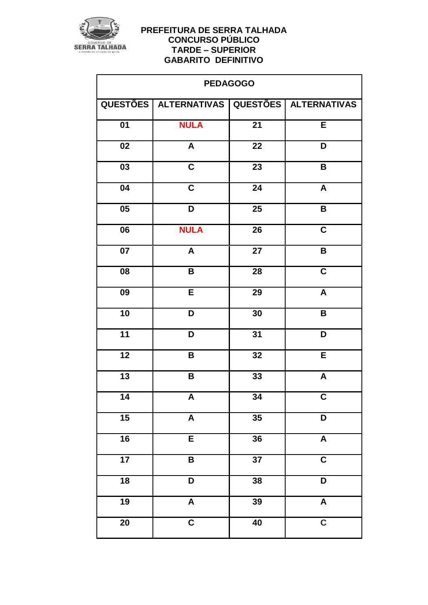

| <b>PEDAGOGO</b> |                                                   |                 |                           |
|-----------------|---------------------------------------------------|-----------------|---------------------------|
|                 | QUESTÕES   ALTERNATIVAS   QUESTÕES   ALTERNATIVAS |                 |                           |
| 01              | <b>NULA</b>                                       | $\overline{21}$ | E                         |
| $\overline{02}$ | A                                                 | $\overline{22}$ | $\overline{\mathsf{D}}$   |
| $\overline{03}$ | $\overline{\mathbf{C}}$                           | $\overline{23}$ | $\overline{\mathbf{B}}$   |
| 04              | $\overline{\mathbf{C}}$                           | 24              | $\boldsymbol{\mathsf{A}}$ |
| $\overline{05}$ | D                                                 | $\overline{25}$ | $\overline{\mathbf{B}}$   |
| $\overline{06}$ | <b>NULA</b>                                       | $\overline{26}$ | $\overline{\mathbf{C}}$   |
| $\overline{07}$ | $\boldsymbol{\mathsf{A}}$                         | $\overline{27}$ | $\overline{\mathbf{B}}$   |
| $\overline{08}$ | B                                                 | $\overline{28}$ | $\overline{\mathbf{C}}$   |
| 09              | E                                                 | 29              | $\pmb{\mathsf{A}}$        |
| $\overline{10}$ | D                                                 | 30              | $\overline{\mathsf{B}}$   |
| $\overline{11}$ | D                                                 | $\overline{3}1$ | D                         |
| $\overline{12}$ | B                                                 | 32              | $\overline{E}$            |
| $\overline{13}$ | $\pmb{\mathsf{B}}$                                | $\overline{33}$ | $\overline{\mathsf{A}}$   |
| 14              | $\pmb{\mathsf{A}}$                                | 34              | $\overline{\mathbf{C}}$   |
| 15              | $\overline{\mathsf{A}}$                           | $\overline{35}$ | $\overline{\mathsf{D}}$   |
| $\overline{16}$ | $\overline{E}$                                    | $\overline{36}$ | $\overline{\mathbf{A}}$   |
| 17              | $\overline{\mathsf{B}}$                           | $\overline{37}$ | $\overline{\mathsf{c}}$   |
| $\overline{18}$ | D                                                 | 38              | $\overline{\mathsf{D}}$   |
| 19              | $\overline{\mathsf{A}}$                           | $\overline{39}$ | $\overline{\mathsf{A}}$   |
| $\overline{20}$ | $\overline{\mathsf{c}}$                           | 40              | $\overline{\mathbf{C}}$   |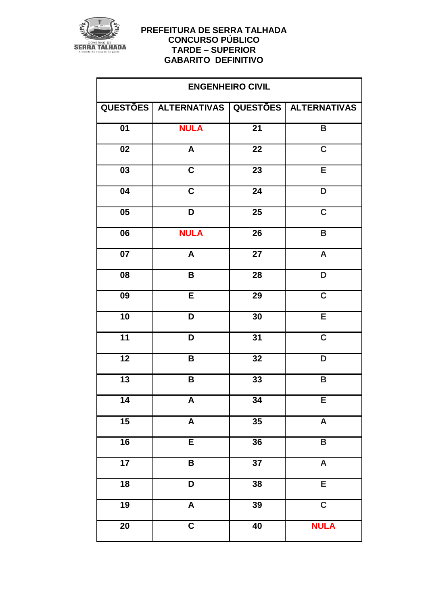

| <b>ENGENHEIRO CIVIL</b> |                           |                 |                           |
|-------------------------|---------------------------|-----------------|---------------------------|
|                         | QUESTÕES   ALTERNATIVAS   |                 | QUESTÕES ALTERNATIVAS     |
| 01                      | <b>NULA</b>               | $\overline{21}$ | B                         |
| $\overline{02}$         | $\overline{A}$            | $\overline{22}$ | $\overline{\mathsf{C}}$   |
| 03                      | $\mathbf C$               | 23              | E                         |
| $\overline{04}$         | $\overline{\mathsf{c}}$   | $\overline{24}$ | $\overline{\mathsf{D}}$   |
| 05                      | D                         | $\overline{25}$ | $\overline{\mathbf{C}}$   |
| $\overline{06}$         | <b>NULA</b>               | $\overline{26}$ | $\overline{\mathsf{B}}$   |
| 07                      | $\boldsymbol{A}$          | 27              | $\mathsf{A}$              |
| 08                      | B                         | 28              | D                         |
| $\overline{09}$         | E                         | $\overline{29}$ | $\overline{\mathbf{C}}$   |
| 10                      | D                         | 30              | E                         |
| 11                      | D                         | 31              | $\overline{\mathsf{C}}$   |
| $\overline{12}$         | B                         | $\overline{32}$ | $\overline{\mathsf{D}}$   |
| $\overline{13}$         | $\overline{\mathbf{B}}$   | $\overline{33}$ | $\overline{\mathbf{B}}$   |
| 14                      | Α                         | $\overline{34}$ | E                         |
| 15                      | $\boldsymbol{\mathsf{A}}$ | 35              | $\boldsymbol{\mathsf{A}}$ |
| 16                      | $\overline{E}$            | $\overline{36}$ | $\overline{\mathsf{B}}$   |
| $\overline{17}$         | $\overline{\mathsf{B}}$   | $\overline{37}$ | $\overline{\mathsf{A}}$   |
| $\overline{18}$         | D                         | 38              | E                         |
| $\overline{19}$         | $\overline{A}$            | $\overline{39}$ | $\overline{\mathbf{C}}$   |
| $\overline{20}$         | $\overline{\mathbf{C}}$   | $\overline{40}$ | <b>NULA</b>               |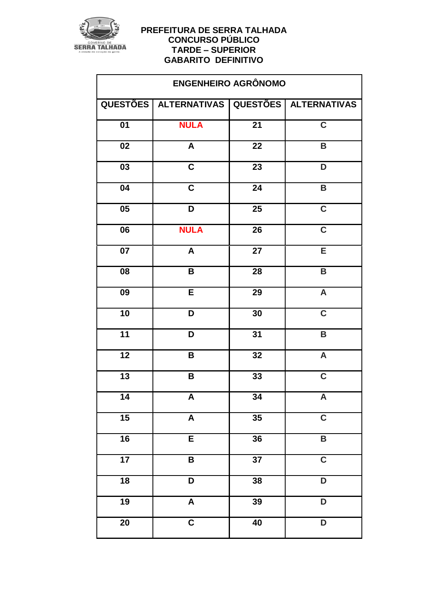

| <b>ENGENHEIRO AGRÔNOMO</b>          |                         |                 |                           |
|-------------------------------------|-------------------------|-----------------|---------------------------|
|                                     | QUESTÕES   ALTERNATIVAS | <b>QUESTÕES</b> | <b>ALTERNATIVAS</b>       |
| $\overline{01}$                     | <b>NULA</b>             | $\overline{21}$ | $\overline{\mathbf{C}}$   |
| 02                                  | A                       | $\overline{22}$ | $\overline{\mathbf{B}}$   |
| 03                                  | $\mathbf C$             | $\overline{23}$ | D                         |
| $\overline{04}$                     | $\overline{\mathsf{c}}$ | $\overline{24}$ | $\overline{\mathbf{B}}$   |
| $\overline{\overline{\textbf{05}}}$ | $\overline{\mathsf{D}}$ | $\overline{25}$ | $\overline{\mathsf{C}}$   |
| $\overline{06}$                     | <b>NULA</b>             | $\overline{26}$ | $\overline{\mathsf{C}}$   |
| 07                                  | A                       | $\overline{27}$ | E                         |
| $\overline{08}$                     | $\pmb{\mathsf{B}}$      | $\overline{28}$ | $\overline{\mathsf{B}}$   |
| 09                                  | E                       | 29              | $\boldsymbol{\mathsf{A}}$ |
| 10                                  | D                       | 30              | $\overline{\mathbf{C}}$   |
| $\overline{11}$                     | D                       | $\overline{31}$ | $\overline{\mathsf{B}}$   |
| $\overline{12}$                     | B                       | 32              | $\boldsymbol{\mathsf{A}}$ |
| $\overline{13}$                     | B                       | 33              | $\overline{\mathsf{C}}$   |
| 14                                  | A                       | 34              | A                         |
| $\overline{15}$                     | $\overline{\mathbf{A}}$ | $\overline{35}$ | $\overline{\mathbf{C}}$   |
| 16                                  | $\overline{E}$          | $\overline{36}$ | $\overline{\mathbf{B}}$   |
| 17                                  | $\overline{\mathbf{B}}$ | $\overline{37}$ | $\overline{\mathbf{C}}$   |
| $\overline{18}$                     | D                       | $\overline{38}$ | $\overline{\mathsf{D}}$   |
| 19                                  | $\overline{\mathsf{A}}$ | $\overline{39}$ | D                         |
| $\overline{20}$                     | $\overline{\mathsf{C}}$ | 40              | $\overline{\mathsf{D}}$   |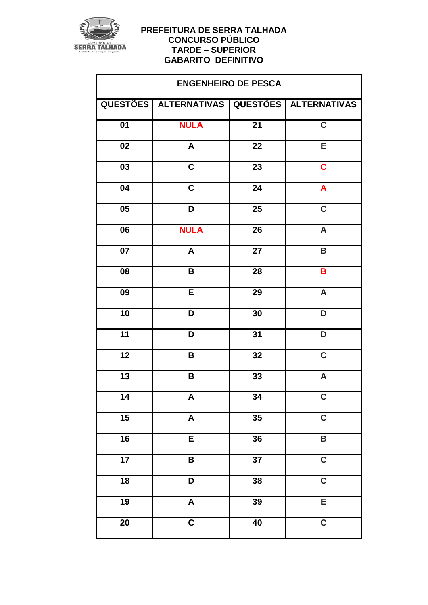

| <b>ENGENHEIRO DE PESCA</b>          |                           |                 |                           |
|-------------------------------------|---------------------------|-----------------|---------------------------|
|                                     | QUESTÕES   ALTERNATIVAS   |                 | QUESTÕES   ALTERNATIVAS   |
| $\overline{01}$                     | <b>NULA</b>               | $\overline{21}$ | $\overline{\mathbf{C}}$   |
| $\overline{02}$                     | A                         | $\overline{22}$ | E                         |
| 03                                  | $\mathbf C$               | 23              | $\mathbf c$               |
| $\overline{04}$                     | $\overline{\mathsf{c}}$   | $\overline{24}$ | $\overline{\mathsf{A}}$   |
| $\overline{\overline{\textbf{05}}}$ | D                         | $\overline{25}$ | $\overline{\mathbf{C}}$   |
| $\overline{06}$                     | <b>NULA</b>               | $\overline{26}$ | $\overline{\mathsf{A}}$   |
| $\overline{07}$                     | A                         | $\overline{27}$ | $\overline{\mathbf{B}}$   |
| $\overline{08}$                     | $\, {\bf B}$              | $\overline{28}$ | $\overline{\mathbf{B}}$   |
| 09                                  | E                         | 29              | $\boldsymbol{\mathsf{A}}$ |
| 10                                  | D                         | 30              | D                         |
| $\overline{11}$                     | D                         | $\overline{31}$ | $\overline{\mathsf{D}}$   |
| $\overline{12}$                     | B                         | 32              | $\overline{c}$            |
| $\overline{13}$                     | B                         | 33              | $\overline{A}$            |
| 14                                  | A                         | 34              | $\mathbf C$               |
| 15                                  | $\boldsymbol{\mathsf{A}}$ | $\overline{35}$ | $\overline{c}$            |
| 16                                  | $\overline{E}$            | $\overline{36}$ | $\overline{\mathbf{B}}$   |
| 17                                  | $\overline{\mathsf{B}}$   | $\overline{37}$ | $\overline{\mathbf{C}}$   |
| $\overline{18}$                     | $\overline{\mathsf{D}}$   | $\overline{38}$ | $\overline{\mathbf{C}}$   |
| 19                                  | $\overline{\mathsf{A}}$   | 39              | E                         |
| $\overline{20}$                     | $\overline{\mathsf{C}}$   | $\overline{40}$ | $\overline{\mathsf{C}}$   |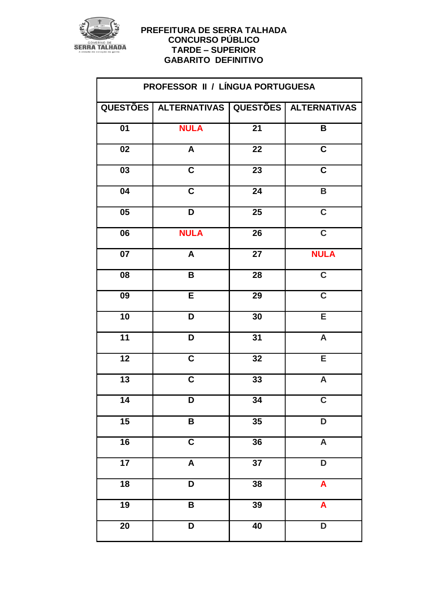

| PROFESSOR II / LÍNGUA PORTUGUESA |                         |                 |                           |  |  |
|----------------------------------|-------------------------|-----------------|---------------------------|--|--|
|                                  | QUESTÕES   ALTERNATIVAS |                 | QUESTÕES ALTERNATIVAS     |  |  |
| $\overline{01}$                  | <b>NULA</b>             | $\overline{21}$ | $\overline{\mathbf{B}}$   |  |  |
| $\overline{02}$                  | A                       | $\overline{22}$ | $\overline{\mathsf{C}}$   |  |  |
| 03                               | $\mathbf C$             | $\overline{2}3$ | $\mathbf C$               |  |  |
| $\overline{04}$                  | $\overline{\mathbf{C}}$ | $\overline{24}$ | $\overline{\mathsf{B}}$   |  |  |
| 05                               | D                       | 25              | $\overline{\mathbf{C}}$   |  |  |
| 06                               | <b>NULA</b>             | 26              | $\overline{\mathbf{C}}$   |  |  |
| $\overline{07}$                  | $\boldsymbol{A}$        | $\overline{27}$ | <b>NULA</b>               |  |  |
| 08                               | B                       | 28              | $\overline{\mathbf{C}}$   |  |  |
| $\overline{09}$                  | $\overline{\mathsf{E}}$ | $\overline{29}$ | $\overline{\mathsf{C}}$   |  |  |
| 10                               | D                       | 30              | E                         |  |  |
| $\overline{11}$                  | D                       | 31              | $\overline{\mathsf{A}}$   |  |  |
| $\overline{12}$                  | $\overline{\mathsf{c}}$ | $\overline{32}$ | $\overline{\mathsf{E}}$   |  |  |
| $\overline{13}$                  | $\mathbf C$             | 33              | $\boldsymbol{\mathsf{A}}$ |  |  |
| 14                               | D                       | 34              | $\overline{\mathsf{C}}$   |  |  |
| $\overline{15}$                  | $\pmb{\mathsf{B}}$      | $\overline{35}$ | D                         |  |  |
| $\overline{16}$                  | $\overline{\mathsf{c}}$ | $\overline{36}$ | $\overline{\mathsf{A}}$   |  |  |
| $\overline{17}$                  | $\overline{\mathsf{A}}$ | $\overline{37}$ | $\overline{\mathsf{D}}$   |  |  |
| $\overline{18}$                  | D                       | 38              | $\pmb{\mathsf{A}}$        |  |  |
| 19                               | B                       | 39              | A                         |  |  |
| $\overline{20}$                  | D                       | 40              | D                         |  |  |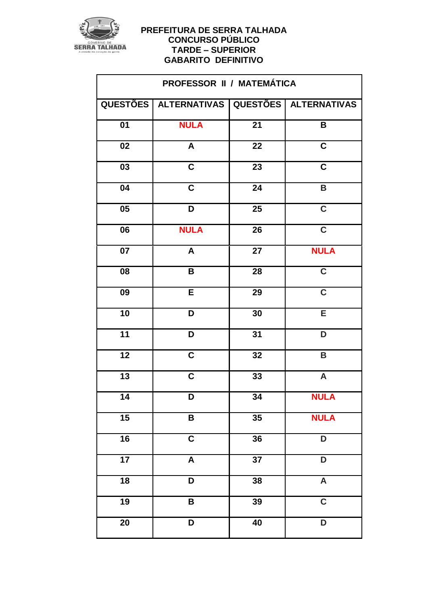

| PROFESSOR II / MATEMÁTICA           |                         |                 |                           |  |  |
|-------------------------------------|-------------------------|-----------------|---------------------------|--|--|
|                                     | QUESTÕES   ALTERNATIVAS |                 | QUESTÕES   ALTERNATIVAS   |  |  |
| $\overline{01}$                     | <b>NULA</b>             | $\overline{21}$ | $\, {\bf B}$              |  |  |
| $\overline{02}$                     | A                       | $\overline{22}$ | $\overline{\mathbf{C}}$   |  |  |
| 03                                  | $\mathbf C$             | 23              | $\overline{\mathbf{C}}$   |  |  |
| $\overline{04}$                     | $\overline{\mathsf{c}}$ | $\overline{24}$ | $\overline{\mathsf{B}}$   |  |  |
| $\overline{\overline{\textbf{05}}}$ | D                       | $\overline{25}$ | $\overline{\mathbf{C}}$   |  |  |
| $\overline{06}$                     | <b>NULA</b>             | $\overline{26}$ | $\overline{\mathbf{C}}$   |  |  |
| $\overline{07}$                     | A                       | $\overline{27}$ | <b>NULA</b>               |  |  |
| $\overline{08}$                     | $\, {\bf B}$            | $\overline{28}$ | $\overline{\mathsf{C}}$   |  |  |
| 09                                  | E                       | 29              | $\overline{\mathsf{C}}$   |  |  |
| 10                                  | D                       | 30              | E                         |  |  |
| $\overline{11}$                     | D                       | $\overline{31}$ | $\overline{\mathsf{D}}$   |  |  |
| $\overline{12}$                     | $\overline{\mathbf{C}}$ | $\overline{32}$ | B                         |  |  |
| $\overline{13}$                     | $\overline{\mathsf{c}}$ | 33              | $\boldsymbol{\mathsf{A}}$ |  |  |
| 14                                  | D                       | 34              | <b>NULA</b>               |  |  |
| $\overline{15}$                     | $\pmb{\mathsf{B}}$      | 35              | <b>NULA</b>               |  |  |
| 16                                  | $\mathbf C$             | 36              | D                         |  |  |
| $\overline{17}$                     | $\overline{\mathsf{A}}$ | $\overline{37}$ | $\overline{\mathsf{D}}$   |  |  |
| $\overline{18}$                     | $\overline{\mathsf{D}}$ | 38              | $\overline{\mathsf{A}}$   |  |  |
| 19                                  | $\overline{\mathsf{B}}$ | $\overline{39}$ | $\overline{\mathsf{C}}$   |  |  |
| $\overline{20}$                     | D                       | $\overline{40}$ | $\overline{\mathsf{D}}$   |  |  |